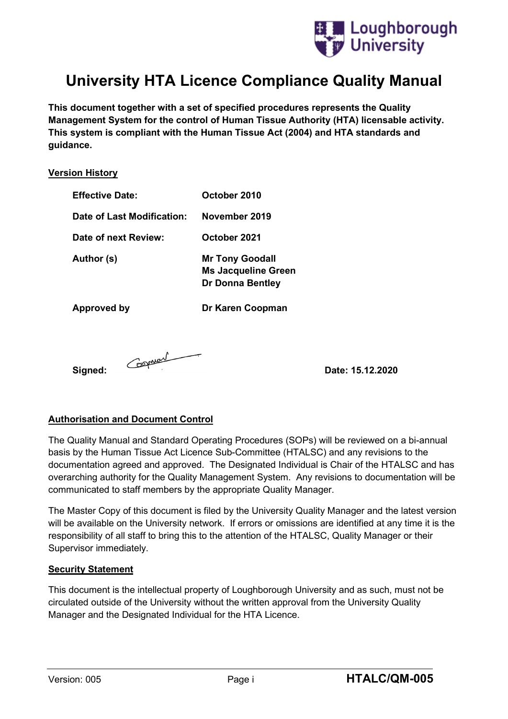

# **University HTA Licence Compliance Quality Manual**

**This document together with a set of specified procedures represents the Quality Management System for the control of Human Tissue Authority (HTA) licensable activity. This system is compliant with the Human Tissue Act (2004) and HTA standards and guidance.**

#### **Version History**

| <b>Effective Date:</b>     | October 2010                                                                    |
|----------------------------|---------------------------------------------------------------------------------|
| Date of Last Modification: | November 2019                                                                   |
| Date of next Review:       | October 2021                                                                    |
| Author (s)                 | <b>Mr Tony Goodall</b><br><b>Ms Jacqueline Green</b><br><b>Dr Donna Bentley</b> |
| Approved by                | Dr Karen Coopman                                                                |

**Signed: Conserved Conserved Conserved Conserved Conserved Conserved Conserved Conserved Conserved Conserved Conserved Conserved Conserved Conserved Conserved Conserved Conserved Conserved Conserved Conserved Conserved C** 

#### **Authorisation and Document Control**

The Quality Manual and Standard Operating Procedures (SOPs) will be reviewed on a bi-annual basis by the Human Tissue Act Licence Sub-Committee (HTALSC) and any revisions to the documentation agreed and approved. The Designated Individual is Chair of the HTALSC and has overarching authority for the Quality Management System. Any revisions to documentation will be communicated to staff members by the appropriate Quality Manager.

The Master Copy of this document is filed by the University Quality Manager and the latest version will be available on the University network. If errors or omissions are identified at any time it is the responsibility of all staff to bring this to the attention of the HTALSC, Quality Manager or their Supervisor immediately.

#### **Security Statement**

This document is the intellectual property of Loughborough University and as such, must not be circulated outside of the University without the written approval from the University Quality Manager and the Designated Individual for the HTA Licence.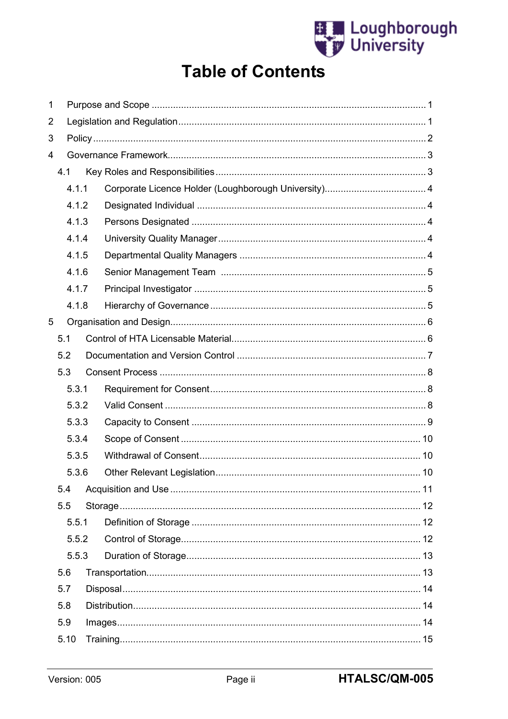

# **Table of Contents**

| 1              |     |       |  |  |
|----------------|-----|-------|--|--|
| $\overline{2}$ |     |       |  |  |
| 3              |     |       |  |  |
| 4              |     |       |  |  |
|                | 4.1 |       |  |  |
|                |     | 4.1.1 |  |  |
|                |     | 4.1.2 |  |  |
|                |     | 4.1.3 |  |  |
|                |     | 4.1.4 |  |  |
|                |     | 4.1.5 |  |  |
|                |     | 4.1.6 |  |  |
|                |     | 4.1.7 |  |  |
|                |     | 4.1.8 |  |  |
| 5              |     |       |  |  |
|                | 5.1 |       |  |  |
|                | 5.2 |       |  |  |
|                | 5.3 |       |  |  |
|                |     | 5.3.1 |  |  |
|                |     | 5.3.2 |  |  |
|                |     | 5.3.3 |  |  |
|                |     | 5.3.4 |  |  |
|                |     | 5.3.5 |  |  |
|                |     | 5.3.6 |  |  |
|                | 5.4 |       |  |  |
|                | 5.5 |       |  |  |
|                |     | 5.5.1 |  |  |
|                |     | 5.5.2 |  |  |
|                |     | 5.5.3 |  |  |
|                | 5.6 |       |  |  |
|                | 5.7 |       |  |  |
|                | 5.8 |       |  |  |
|                | 5.9 |       |  |  |
|                |     | 5.10  |  |  |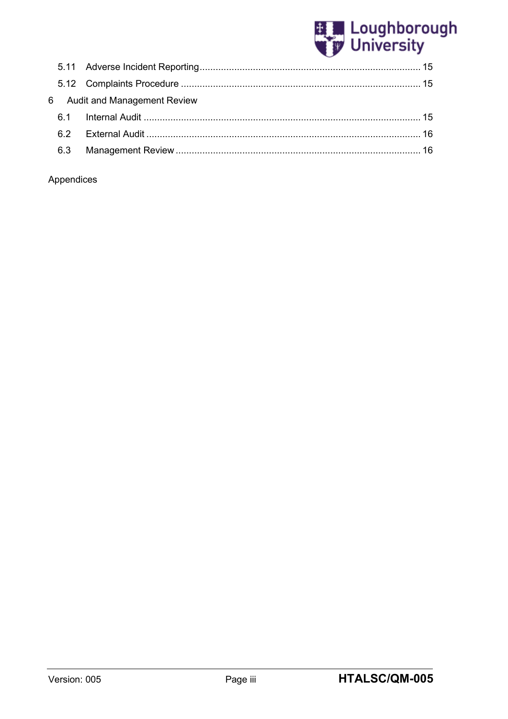

|     | 6 Audit and Management Review |  |
|-----|-------------------------------|--|
|     |                               |  |
|     |                               |  |
| 6.3 |                               |  |

## Appendices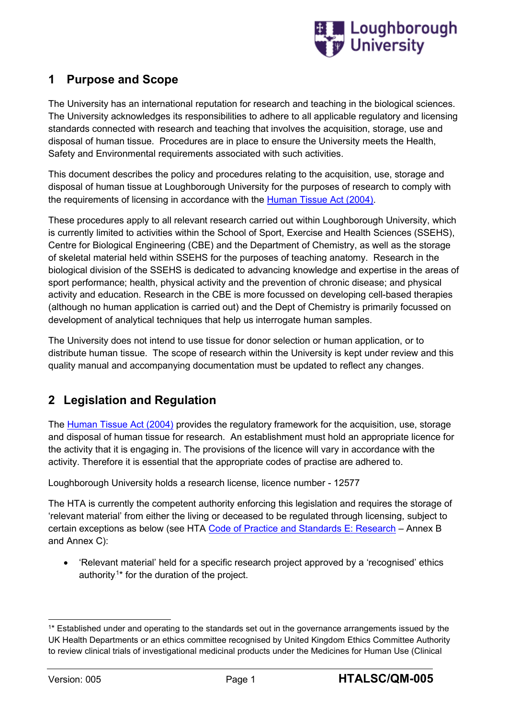

## <span id="page-3-0"></span>**1 Purpose and Scope**

The University has an international reputation for research and teaching in the biological sciences. The University acknowledges its responsibilities to adhere to all applicable regulatory and licensing standards connected with research and teaching that involves the acquisition, storage, use and disposal of human tissue. Procedures are in place to ensure the University meets the Health, Safety and Environmental requirements associated with such activities.

This document describes the policy and procedures relating to the acquisition, use, storage and disposal of human tissue at Loughborough University for the purposes of research to comply with the requirements of licensing in accordance with the [Human Tissue Act \(2004\).](http://www.legislation.gov.uk/ukpga/2004/30/contents)

These procedures apply to all relevant research carried out within Loughborough University, which is currently limited to activities within the School of Sport, Exercise and Health Sciences (SSEHS), Centre for Biological Engineering (CBE) and the Department of Chemistry, as well as the storage of skeletal material held within SSEHS for the purposes of teaching anatomy. Research in the biological division of the SSEHS is dedicated to advancing knowledge and expertise in the areas of sport performance; health, physical activity and the prevention of chronic disease; and physical activity and education. Research in the CBE is more focussed on developing cell-based therapies (although no human application is carried out) and the Dept of Chemistry is primarily focussed on development of analytical techniques that help us interrogate human samples.

The University does not intend to use tissue for donor selection or human application, or to distribute human tissue. The scope of research within the University is kept under review and this quality manual and accompanying documentation must be updated to reflect any changes.

## <span id="page-3-1"></span>**2 Legislation and Regulation**

The [Human Tissue Act \(2004\)](http://www.legislation.gov.uk/ukpga/2004/30/contents) provides the regulatory framework for the acquisition, use, storage and disposal of human tissue for research. An establishment must hold an appropriate licence for the activity that it is engaging in. The provisions of the licence will vary in accordance with the activity. Therefore it is essential that the appropriate codes of practise are adhered to.

Loughborough University holds a research license, licence number - 12577

The HTA is currently the competent authority enforcing this legislation and requires the storage of 'relevant material' from either the living or deceased to be regulated through licensing, subject to certain exceptions as below (see HTA [Code of Practice](https://www.hta.gov.uk/sites/default/files/Code%20E.pdf) and Standards E: Research – Annex B and Annex C):

• 'Relevant material' held for a specific research project approved by a 'recognised' ethics authority.<sup>1\*</sup> for the duration of the project.

<sup>1\*</sup> Established under and operating to the standards set out in the governance arrangements issued by the UK Health Departments or an ethics committee recognised by United Kingdom Ethics Committee Authority to review clinical trials of investigational medicinal products under the Medicines for Human Use (Clinical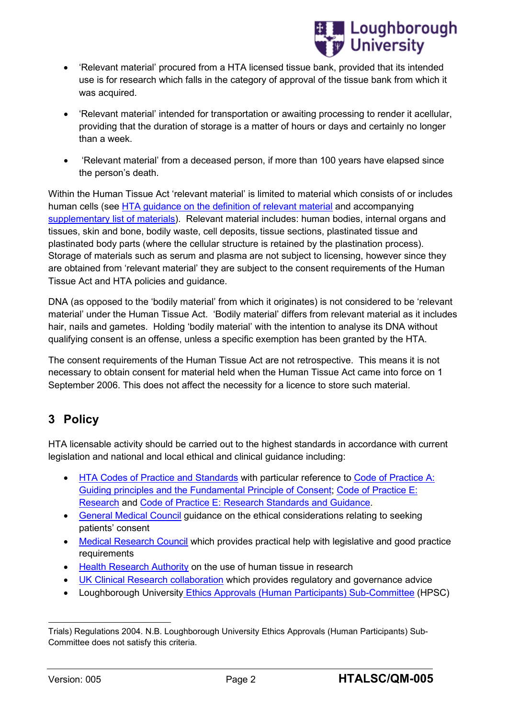

- 'Relevant material' procured from a HTA licensed tissue bank, provided that its intended use is for research which falls in the category of approval of the tissue bank from which it was acquired.
- 'Relevant material' intended for transportation or awaiting processing to render it acellular, providing that the duration of storage is a matter of hours or days and certainly no longer than a week.
- 'Relevant material' from a deceased person, if more than 100 years have elapsed since the person's death.

Within the Human Tissue Act 'relevant material' is limited to material which consists of or includes human cells (see [HTA guidance on the definition of relevant material](http://www.hta.gov.uk/legislationpoliciesandcodesofpractice/definitionofrelevantmaterial.cfm) and accompanying [supplementary list of materials\)](http://www.hta.gov.uk/_db/_documents/Supplementary_list_of_materials_200811252407.pdf). Relevant material includes: human bodies, internal organs and tissues, skin and bone, bodily waste, cell deposits, tissue sections, plastinated tissue and plastinated body parts (where the cellular structure is retained by the plastination process). Storage of materials such as serum and plasma are not subject to licensing, however since they are obtained from 'relevant material' they are subject to the consent requirements of the Human Tissue Act and HTA policies and guidance.

DNA (as opposed to the 'bodily material' from which it originates) is not considered to be 'relevant material' under the Human Tissue Act. 'Bodily material' differs from relevant material as it includes hair, nails and gametes. Holding 'bodily material' with the intention to analyse its DNA without qualifying consent is an offense, unless a specific exemption has been granted by the HTA.

The consent requirements of the Human Tissue Act are not retrospective. This means it is not necessary to obtain consent for material held when the Human Tissue Act came into force on 1 September 2006. This does not affect the necessity for a licence to store such material.

## <span id="page-4-0"></span>**3 Policy**

HTA licensable activity should be carried out to the highest standards in accordance with current legislation and national and local ethical and clinical guidance including:

- [HTA Codes of Practice](https://www.hta.gov.uk/hta-codes-practice-and-standards-0) and Standards with particular reference to [Code of Practice A:](https://www.hta.gov.uk/sites/default/files/files/HTA%20Code%20A_0.pdf) [Guiding principles and the Fundamental Principle of Consent;](https://www.hta.gov.uk/sites/default/files/files/HTA%20Code%20A_0.pdf) [Code of Practice E:](https://www.hta.gov.uk/sites/default/files/Code%20E.pdf) [Research](https://www.hta.gov.uk/sites/default/files/Code%20E.pdf) and Code of Practice E: [Research Standards and Guidance.](https://www.hta.gov.uk/sites/default/files/Code%20E%20Research%20Standards%20and%20Guidance.pdf)
- [General Medical Council](http://www.gmc-uk.org/guidance/ethical_guidance.asp) guidance on the ethical considerations relating to seeking patients' consent
- [Medical Research Council](http://www.mrc.ac.uk/) which provides practical help with legislative and good practice requirements
- [Health Research Authority](http://www.hra.nhs.uk/research-community/) on the use of human tissue in research
- [UK Clinical Research collaboration](http://www.ukcrc.org/) which provides regulatory and governance advice
- Loughborough University [Ethics Approvals \(Human Participants\) Sub-Committee](http://www.lboro.ac.uk/committees/ethics-approvals-human-participants/) (HPSC)

Trials) Regulations 2004. N.B. Loughborough University Ethics Approvals (Human Participants) Sub-Committee does not satisfy this criteria.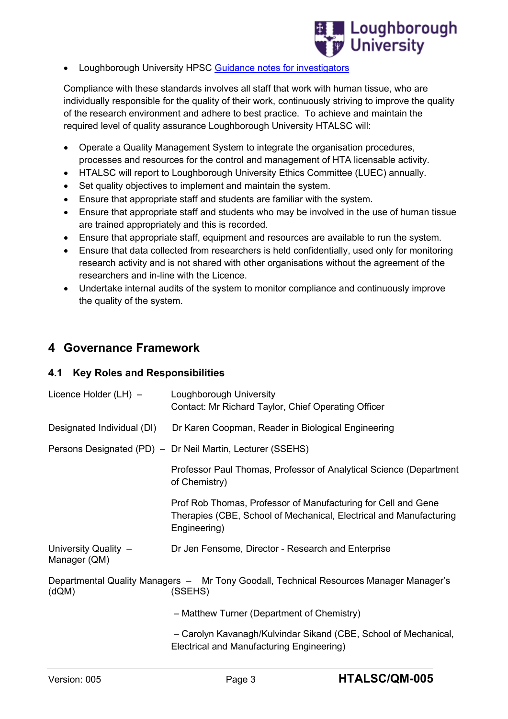

• Loughborough University HPSC [Guidance notes for investigators](http://www.lboro.ac.uk/committees/ethics-approvals-human-participants/additionalinformation/guidanceforinvestigators/)

Compliance with these standards involves all staff that work with human tissue, who are individually responsible for the quality of their work, continuously striving to improve the quality of the research environment and adhere to best practice. To achieve and maintain the required level of quality assurance Loughborough University HTALSC will:

- Operate a Quality Management System to integrate the organisation procedures, processes and resources for the control and management of HTA licensable activity.
- HTALSC will report to Loughborough University Ethics Committee (LUEC) annually.
- Set quality objectives to implement and maintain the system.
- Ensure that appropriate staff and students are familiar with the system.
- Ensure that appropriate staff and students who may be involved in the use of human tissue are trained appropriately and this is recorded.
- Ensure that appropriate staff, equipment and resources are available to run the system.
- Ensure that data collected from researchers is held confidentially, used only for monitoring research activity and is not shared with other organisations without the agreement of the researchers and in-line with the Licence.
- Undertake internal audits of the system to monitor compliance and continuously improve the quality of the system.

## <span id="page-5-0"></span>**4 Governance Framework**

#### <span id="page-5-1"></span>**4.1 Key Roles and Responsibilities**

| Licence Holder (LH) -                | Loughborough University<br>Contact: Mr Richard Taylor, Chief Operating Officer                                                                      |
|--------------------------------------|-----------------------------------------------------------------------------------------------------------------------------------------------------|
| Designated Individual (DI)           | Dr Karen Coopman, Reader in Biological Engineering                                                                                                  |
|                                      | Persons Designated (PD) - Dr Neil Martin, Lecturer (SSEHS)                                                                                          |
|                                      | Professor Paul Thomas, Professor of Analytical Science (Department<br>of Chemistry)                                                                 |
|                                      | Prof Rob Thomas, Professor of Manufacturing for Cell and Gene<br>Therapies (CBE, School of Mechanical, Electrical and Manufacturing<br>Engineering) |
| University Quality -<br>Manager (QM) | Dr Jen Fensome, Director - Research and Enterprise                                                                                                  |
| (dQM)                                | Departmental Quality Managers - Mr Tony Goodall, Technical Resources Manager Manager's<br>(SSEHS)                                                   |
|                                      | - Matthew Turner (Department of Chemistry)                                                                                                          |
|                                      | - Carolyn Kavanagh/Kulvindar Sikand (CBE, School of Mechanical,<br>Electrical and Manufacturing Engineering)                                        |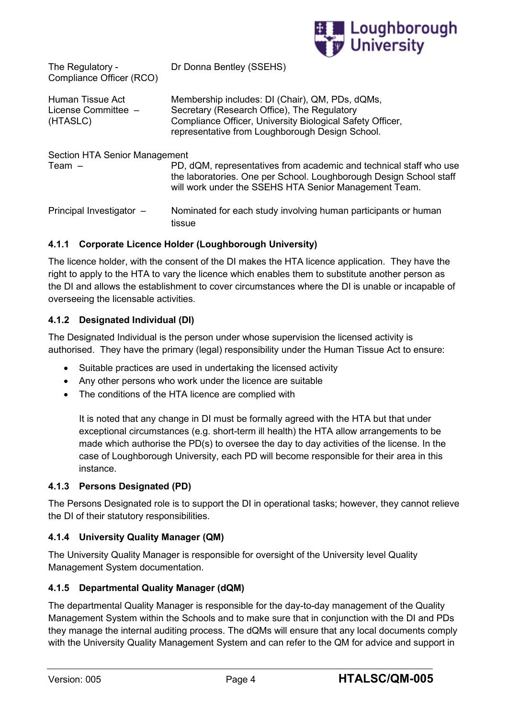

| The Regulatory -<br>Compliance Officer (RCO)          | Dr Donna Bentley (SSEHS)                                                                                                                                                                                       |
|-------------------------------------------------------|----------------------------------------------------------------------------------------------------------------------------------------------------------------------------------------------------------------|
| Human Tissue Act<br>License Committee $-$<br>(HTASLC) | Membership includes: DI (Chair), QM, PDs, dQMs,<br>Secretary (Research Office), The Regulatory<br>Compliance Officer, University Biological Safety Officer,<br>representative from Loughborough Design School. |
| Section HTA Senior Management                         |                                                                                                                                                                                                                |
| Team $-$                                              | PD, dQM, representatives from academic and technical staff who use<br>the laboratories. One per School. Loughborough Design School staff<br>will work under the SSEHS HTA Senior Management Team.              |
| Principal Investigator -                              | Nominated for each study involving human participants or human<br>tissue                                                                                                                                       |

#### <span id="page-6-0"></span>**4.1.1 Corporate Licence Holder (Loughborough University)**

The licence holder, with the consent of the DI makes the HTA licence application. They have the right to apply to the HTA to vary the licence which enables them to substitute another person as the DI and allows the establishment to cover circumstances where the DI is unable or incapable of overseeing the licensable activities.

#### <span id="page-6-1"></span>**4.1.2 Designated Individual (DI)**

The Designated Individual is the person under whose supervision the licensed activity is authorised. They have the primary (legal) responsibility under the Human Tissue Act to ensure:

- Suitable practices are used in undertaking the licensed activity
- Any other persons who work under the licence are suitable
- The conditions of the HTA licence are complied with

It is noted that any change in DI must be formally agreed with the HTA but that under exceptional circumstances (e.g. short-term ill health) the HTA allow arrangements to be made which authorise the PD(s) to oversee the day to day activities of the license. In the case of Loughborough University, each PD will become responsible for their area in this instance.

#### <span id="page-6-2"></span>**4.1.3 Persons Designated (PD)**

The Persons Designated role is to support the DI in operational tasks; however, they cannot relieve the DI of their statutory responsibilities.

#### <span id="page-6-3"></span>**4.1.4 University Quality Manager (QM)**

The University Quality Manager is responsible for oversight of the University level Quality Management System documentation.

#### <span id="page-6-4"></span>**4.1.5 Departmental Quality Manager (dQM)**

The departmental Quality Manager is responsible for the day-to-day management of the Quality Management System within the Schools and to make sure that in conjunction with the DI and PDs they manage the internal auditing process. The dQMs will ensure that any local documents comply with the University Quality Management System and can refer to the QM for advice and support in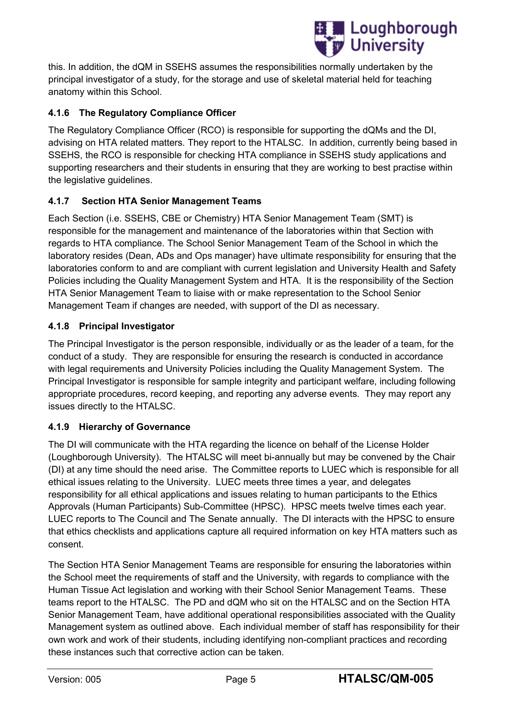

this. In addition, the dQM in SSEHS assumes the responsibilities normally undertaken by the principal investigator of a study, for the storage and use of skeletal material held for teaching anatomy within this School.

## **4.1.6 The Regulatory Compliance Officer**

The Regulatory Compliance Officer (RCO) is responsible for supporting the dQMs and the DI, advising on HTA related matters. They report to the HTALSC. In addition, currently being based in SSEHS, the RCO is responsible for checking HTA compliance in SSEHS study applications and supporting researchers and their students in ensuring that they are working to best practise within the legislative guidelines.

## <span id="page-7-0"></span>**4.1.7 Section HTA Senior Management Teams**

Each Section (i.e. SSEHS, CBE or Chemistry) HTA Senior Management Team (SMT) is responsible for the management and maintenance of the laboratories within that Section with regards to HTA compliance. The School Senior Management Team of the School in which the laboratory resides (Dean, ADs and Ops manager) have ultimate responsibility for ensuring that the laboratories conform to and are compliant with current legislation and University Health and Safety Policies including the Quality Management System and HTA. It is the responsibility of the Section HTA Senior Management Team to liaise with or make representation to the School Senior Management Team if changes are needed, with support of the DI as necessary.

#### <span id="page-7-1"></span>**4.1.8 Principal Investigator**

The Principal Investigator is the person responsible, individually or as the leader of a team, for the conduct of a study. They are responsible for ensuring the research is conducted in accordance with legal requirements and University Policies including the Quality Management System. The Principal Investigator is responsible for sample integrity and participant welfare, including following appropriate procedures, record keeping, and reporting any adverse events. They may report any issues directly to the HTALSC.

## <span id="page-7-2"></span>**4.1.9 Hierarchy of Governance**

The DI will communicate with the HTA regarding the licence on behalf of the License Holder (Loughborough University). The HTALSC will meet bi-annually but may be convened by the Chair (DI) at any time should the need arise. The Committee reports to LUEC which is responsible for all ethical issues relating to the University. LUEC meets three times a year, and delegates responsibility for all ethical applications and issues relating to human participants to the Ethics Approvals (Human Participants) Sub-Committee (HPSC). HPSC meets twelve times each year. LUEC reports to The Council and The Senate annually. The DI interacts with the HPSC to ensure that ethics checklists and applications capture all required information on key HTA matters such as consent.

The Section HTA Senior Management Teams are responsible for ensuring the laboratories within the School meet the requirements of staff and the University, with regards to compliance with the Human Tissue Act legislation and working with their School Senior Management Teams. These teams report to the HTALSC. The PD and dQM who sit on the HTALSC and on the Section HTA Senior Management Team, have additional operational responsibilities associated with the Quality Management system as outlined above. Each individual member of staff has responsibility for their own work and work of their students, including identifying non-compliant practices and recording these instances such that corrective action can be taken.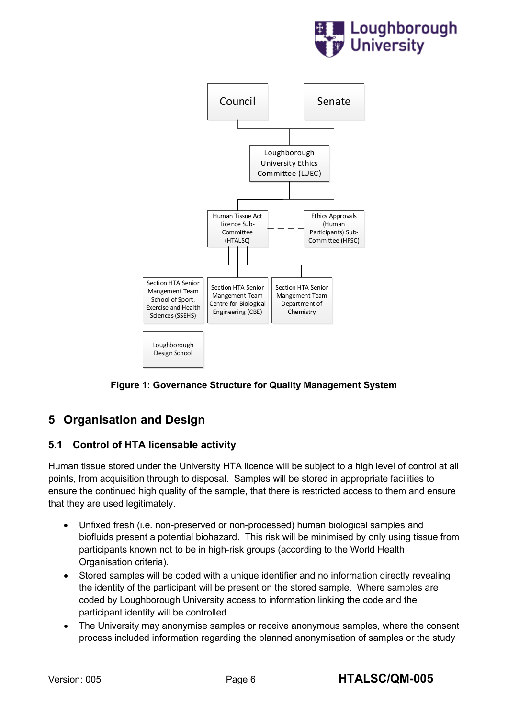



**Figure 1: Governance Structure for Quality Management System**

## <span id="page-8-0"></span>**5 Organisation and Design**

## <span id="page-8-1"></span>**5.1 Control of HTA licensable activity**

Human tissue stored under the University HTA licence will be subject to a high level of control at all points, from acquisition through to disposal. Samples will be stored in appropriate facilities to ensure the continued high quality of the sample, that there is restricted access to them and ensure that they are used legitimately.

- Unfixed fresh (i.e. non-preserved or non-processed) human biological samples and biofluids present a potential biohazard. This risk will be minimised by only using tissue from participants known not to be in high-risk groups (according to the World Health Organisation criteria).
- Stored samples will be coded with a unique identifier and no information directly revealing the identity of the participant will be present on the stored sample. Where samples are coded by Loughborough University access to information linking the code and the participant identity will be controlled.
- The University may anonymise samples or receive anonymous samples, where the consent process included information regarding the planned anonymisation of samples or the study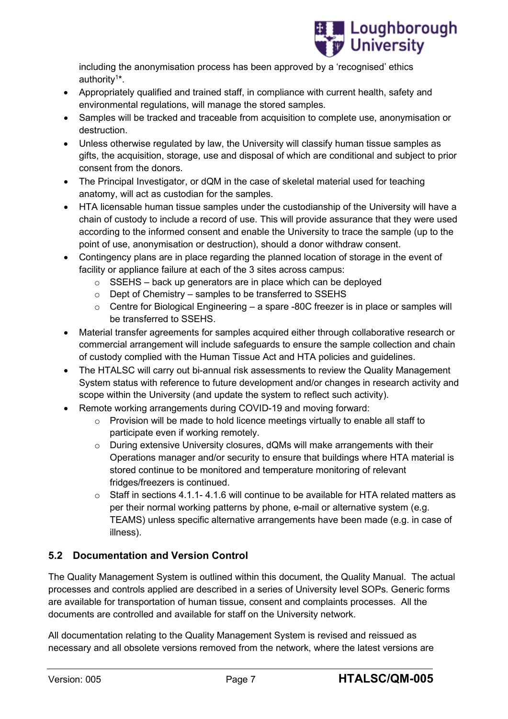

including the anonymisation process has been approved by a 'recognised' ethics authority<sup>1</sup>\*.

- Appropriately qualified and trained staff, in compliance with current health, safety and environmental regulations, will manage the stored samples.
- Samples will be tracked and traceable from acquisition to complete use, anonymisation or destruction.
- Unless otherwise regulated by law, the University will classify human tissue samples as gifts, the acquisition, storage, use and disposal of which are conditional and subject to prior consent from the donors.
- The Principal Investigator, or dQM in the case of skeletal material used for teaching anatomy, will act as custodian for the samples.
- HTA licensable human tissue samples under the custodianship of the University will have a chain of custody to include a record of use. This will provide assurance that they were used according to the informed consent and enable the University to trace the sample (up to the point of use, anonymisation or destruction), should a donor withdraw consent.
- Contingency plans are in place regarding the planned location of storage in the event of facility or appliance failure at each of the 3 sites across campus:
	- $\circ$  SSEHS back up generators are in place which can be deployed
	- o Dept of Chemistry samples to be transferred to SSEHS
	- o Centre for Biological Engineering a spare -80C freezer is in place or samples will be transferred to SSEHS.
- Material transfer agreements for samples acquired either through collaborative research or commercial arrangement will include safeguards to ensure the sample collection and chain of custody complied with the Human Tissue Act and HTA policies and guidelines.
- The HTALSC will carry out bi-annual risk assessments to review the Quality Management System status with reference to future development and/or changes in research activity and scope within the University (and update the system to reflect such activity).
- Remote working arrangements during COVID-19 and moving forward:
	- $\circ$  Provision will be made to hold licence meetings virtually to enable all staff to participate even if working remotely.
	- o During extensive University closures, dQMs will make arrangements with their Operations manager and/or security to ensure that buildings where HTA material is stored continue to be monitored and temperature monitoring of relevant fridges/freezers is continued.
	- $\circ$  Staff in sections 4.1.1- 4.1.6 will continue to be available for HTA related matters as per their normal working patterns by phone, e-mail or alternative system (e.g. TEAMS) unless specific alternative arrangements have been made (e.g. in case of illness).

## <span id="page-9-0"></span>**5.2 Documentation and Version Control**

The Quality Management System is outlined within this document, the Quality Manual. The actual processes and controls applied are described in a series of University level SOPs. Generic forms are available for transportation of human tissue, consent and complaints processes. All the documents are controlled and available for staff on the University network.

All documentation relating to the Quality Management System is revised and reissued as necessary and all obsolete versions removed from the network, where the latest versions are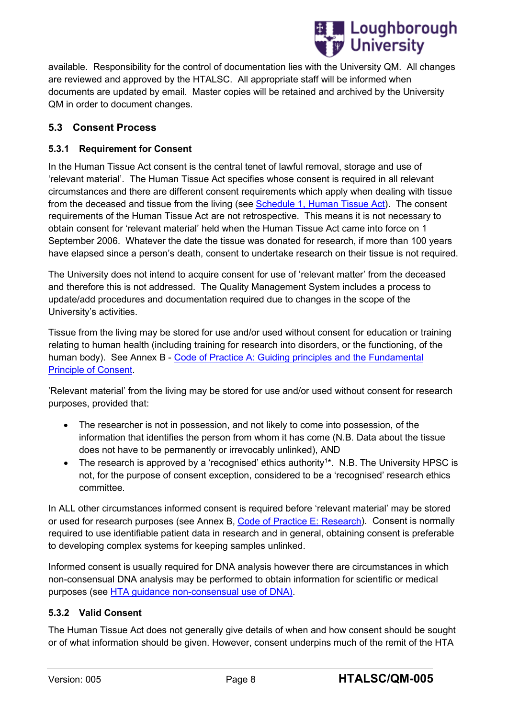

available. Responsibility for the control of documentation lies with the University QM. All changes are reviewed and approved by the HTALSC. All appropriate staff will be informed when documents are updated by email. Master copies will be retained and archived by the University QM in order to document changes.

### <span id="page-10-0"></span>**5.3 Consent Process**

#### <span id="page-10-1"></span>**5.3.1 Requirement for Consent**

In the Human Tissue Act consent is the central tenet of lawful removal, storage and use of 'relevant material'. The Human Tissue Act specifies whose consent is required in all relevant circumstances and there are different consent requirements which apply when dealing with tissue from the deceased and tissue from the living (see Schedule [1, Human Tissue Act\)](http://www.legislation.gov.uk/ukpga/2004/30/schedule/1). The consent requirements of the Human Tissue Act are not retrospective. This means it is not necessary to obtain consent for 'relevant material' held when the Human Tissue Act came into force on 1 September 2006. Whatever the date the tissue was donated for research, if more than 100 years have elapsed since a person's death, consent to undertake research on their tissue is not required.

The University does not intend to acquire consent for use of 'relevant matter' from the deceased and therefore this is not addressed. The Quality Management System includes a process to update/add procedures and documentation required due to changes in the scope of the University's activities.

Tissue from the living may be stored for use and/or used without consent for education or training relating to human health (including training for research into disorders, or the functioning, of the human body). See Annex B - Code of Practice A: Guiding principles and the Fundamental [Principle of Consent.](https://www.hta.gov.uk/sites/default/files/files/HTA%20Code%20A_0.pdf)

'Relevant material' from the living may be stored for use and/or used without consent for research purposes, provided that:

- The researcher is not in possession, and not likely to come into possession, of the information that identifies the person from whom it has come (N.B. Data about the tissue does not have to be permanently or irrevocably unlinked), AND
- The research is approved by a 'recognised' ethics authority<sup>1\*</sup>. N.B. The University HPSC is not, for the purpose of consent exception, considered to be a 'recognised' research ethics committee.

In ALL other circumstances informed consent is required before 'relevant material' may be stored or used for research purposes (see Annex B, [Code of Practice E:](https://www.hta.gov.uk/sites/default/files/Code%20E.pdf) Research). Consent is normally required to use identifiable patient data in research and in general, obtaining consent is preferable to developing complex systems for keeping samples unlinked.

Informed consent is usually required for DNA analysis however there are circumstances in which non-consensual DNA analysis may be performed to obtain information for scientific or medical purposes (see [HTA guidance non-consensual use of DNA\).](https://www.hta.gov.uk/policies/non-consensual-dna-analysis)

#### <span id="page-10-2"></span>**5.3.2 Valid Consent**

The Human Tissue Act does not generally give details of when and how consent should be sought or of what information should be given. However, consent underpins much of the remit of the HTA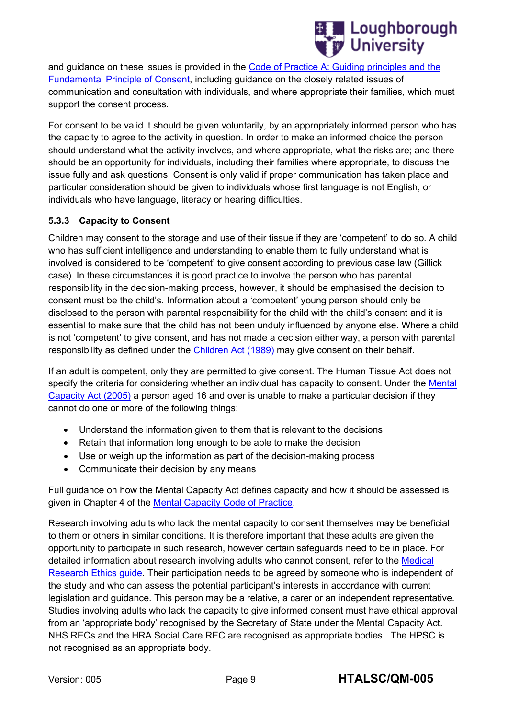

and guidance on these issues is provided in the Code of Practice A: [Guiding principles and the](https://www.hta.gov.uk/sites/default/files/files/HTA%20Code%20A_0.pdf)  [Fundamental Principle of Consent,](https://www.hta.gov.uk/sites/default/files/files/HTA%20Code%20A_0.pdf) including guidance on the closely related issues of communication and consultation with individuals, and where appropriate their families, which must support the consent process.

For consent to be valid it should be given voluntarily, by an appropriately informed person who has the capacity to agree to the activity in question. In order to make an informed choice the person should understand what the activity involves, and where appropriate, what the risks are; and there should be an opportunity for individuals, including their families where appropriate, to discuss the issue fully and ask questions. Consent is only valid if proper communication has taken place and particular consideration should be given to individuals whose first language is not English, or individuals who have language, literacy or hearing difficulties.

#### <span id="page-11-0"></span>**5.3.3 Capacity to Consent**

Children may consent to the storage and use of their tissue if they are 'competent' to do so. A child who has sufficient intelligence and understanding to enable them to fully understand what is involved is considered to be 'competent' to give consent according to previous case law (Gillick case). In these circumstances it is good practice to involve the person who has parental responsibility in the decision-making process, however, it should be emphasised the decision to consent must be the child's. Information about a 'competent' young person should only be disclosed to the person with parental responsibility for the child with the child's consent and it is essential to make sure that the child has not been unduly influenced by anyone else. Where a child is not 'competent' to give consent, and has not made a decision either way, a person with parental responsibility as defined under the [Children Act \(1989\)](http://www.legislation.gov.uk/ukpga/1989/41/contents) may give consent on their behalf.

If an adult is competent, only they are permitted to give consent. The Human Tissue Act does not specify the criteria for considering whether an individual has capacity to consent. Under the Mental [Capacity Act \(2005\)](http://www.legislation.gov.uk/ukpga/2005/9/contents) a person aged 16 and over is unable to make a particular decision if they cannot do one or more of the following things:

- Understand the information given to them that is relevant to the decisions
- Retain that information long enough to be able to make the decision
- Use or weigh up the information as part of the decision-making process
- Communicate their decision by any means

Full guidance on how the Mental Capacity Act defines capacity and how it should be assessed is given in Chapter 4 of the [Mental Capacity Code of Practice.](https://www.gov.uk/government/uploads/system/uploads/attachment_data/file/497253/Mental-capacity-act-code-of-practice.pdf)

Research involving adults who lack the mental capacity to consent themselves may be beneficial to them or others in similar conditions. It is therefore important that these adults are given the opportunity to participate in such research, however certain safeguards need to be in place. For detailed information about research involving adults who cannot consent, refer to the [Medical](http://www.mrc.ac.uk/documents/pdf/medical-research-involving-adults-who-cannot-consent/)  [Research Ethics guide.](http://www.mrc.ac.uk/documents/pdf/medical-research-involving-adults-who-cannot-consent/) Their participation needs to be agreed by someone who is independent of the study and who can assess the potential participant's interests in accordance with current legislation and guidance. This person may be a relative, a carer or an independent representative. Studies involving adults who lack the capacity to give informed consent must have ethical approval from an 'appropriate body' recognised by the Secretary of State under the Mental Capacity Act. NHS RECs and the HRA Social Care REC are recognised as appropriate bodies. The HPSC is not recognised as an appropriate body.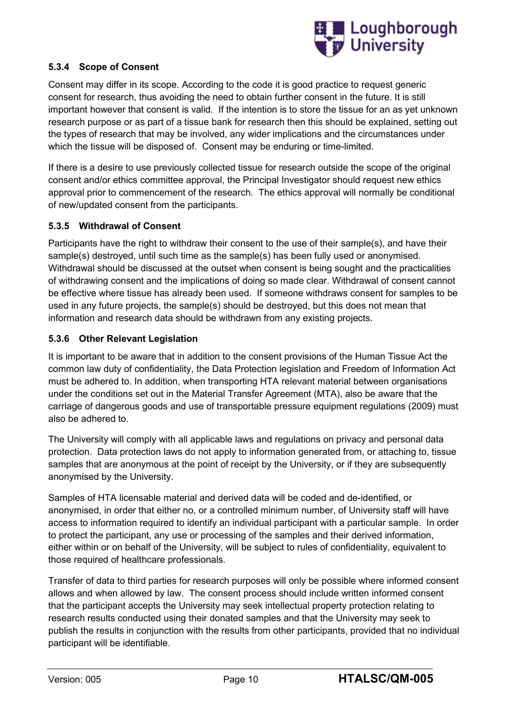

#### <span id="page-12-0"></span>**5.3.4 Scope of Consent**

Consent may differ in its scope. According to the code it is good practice to request generic consent for research, thus avoiding the need to obtain further consent in the future. It is still important however that consent is valid. If the intention is to store the tissue for an as yet unknown research purpose or as part of a tissue bank for research then this should be explained, setting out the types of research that may be involved, any wider implications and the circumstances under which the tissue will be disposed of. Consent may be enduring or time-limited.

If there is a desire to use previously collected tissue for research outside the scope of the original consent and/or ethics committee approval, the Principal Investigator should request new ethics approval prior to commencement of the research. The ethics approval will normally be conditional of new/updated consent from the participants.

#### <span id="page-12-1"></span>**5.3.5 Withdrawal of Consent**

Participants have the right to withdraw their consent to the use of their sample(s), and have their sample(s) destroyed, until such time as the sample(s) has been fully used or anonymised. Withdrawal should be discussed at the outset when consent is being sought and the practicalities of withdrawing consent and the implications of doing so made clear. Withdrawal of consent cannot be effective where tissue has already been used. If someone withdraws consent for samples to be used in any future projects, the sample(s) should be destroyed, but this does not mean that information and research data should be withdrawn from any existing projects.

#### <span id="page-12-2"></span>**5.3.6 Other Relevant Legislation**

It is important to be aware that in addition to the consent provisions of the Human Tissue Act the common law duty of confidentiality, the Data Protection legislation and Freedom of Information Act must be adhered to. In addition, when transporting HTA relevant material between organisations under the conditions set out in the Material Transfer Agreement (MTA), also be aware that the carriage of dangerous goods and use of transportable pressure equipment regulations (2009) must also be adhered to.

The University will comply with all applicable laws and regulations on privacy and personal data protection. Data protection laws do not apply to information generated from, or attaching to, tissue samples that are anonymous at the point of receipt by the University, or if they are subsequently anonymised by the University.

Samples of HTA licensable material and derived data will be coded and de-identified, or anonymised, in order that either no, or a controlled minimum number, of University staff will have access to information required to identify an individual participant with a particular sample. In order to protect the participant, any use or processing of the samples and their derived information, either within or on behalf of the University, will be subject to rules of confidentiality, equivalent to those required of healthcare professionals.

Transfer of data to third parties for research purposes will only be possible where informed consent allows and when allowed by law. The consent process should include written informed consent that the participant accepts the University may seek intellectual property protection relating to research results conducted using their donated samples and that the University may seek to publish the results in conjunction with the results from other participants, provided that no individual participant will be identifiable.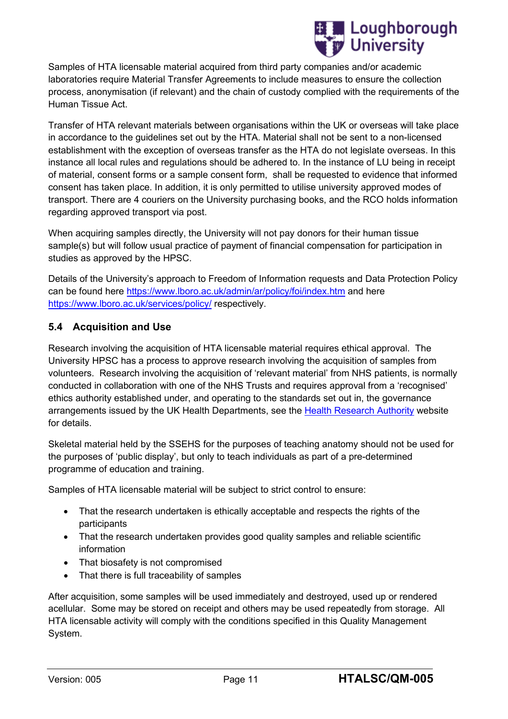

Samples of HTA licensable material acquired from third party companies and/or academic laboratories require Material Transfer Agreements to include measures to ensure the collection process, anonymisation (if relevant) and the chain of custody complied with the requirements of the Human Tissue Act.

Transfer of HTA relevant materials between organisations within the UK or overseas will take place in accordance to the guidelines set out by the HTA. Material shall not be sent to a non-licensed establishment with the exception of overseas transfer as the HTA do not legislate overseas. In this instance all local rules and regulations should be adhered to. In the instance of LU being in receipt of material, consent forms or a sample consent form, shall be requested to evidence that informed consent has taken place. In addition, it is only permitted to utilise university approved modes of transport. There are 4 couriers on the University purchasing books, and the RCO holds information regarding approved transport via post.

When acquiring samples directly, the University will not pay donors for their human tissue sample(s) but will follow usual practice of payment of financial compensation for participation in studies as approved by the HPSC.

Details of the University's approach to Freedom of Information requests and Data Protection Policy can be found here<https://www.lboro.ac.uk/admin/ar/policy/foi/index.htm> and here <https://www.lboro.ac.uk/services/policy/> respectively.

#### <span id="page-13-0"></span>**5.4 Acquisition and Use**

Research involving the acquisition of HTA licensable material requires ethical approval. The University HPSC has a process to approve research involving the acquisition of samples from volunteers. Research involving the acquisition of 'relevant material' from NHS patients, is normally conducted in collaboration with one of the NHS Trusts and requires approval from a 'recognised' ethics authority established under, and operating to the standards set out in, the governance arrangements issued by the UK Health Departments, see the [Health Research Authority](http://www.hra.nhs.uk/research-community/) website for details.

Skeletal material held by the SSEHS for the purposes of teaching anatomy should not be used for the purposes of 'public display', but only to teach individuals as part of a pre-determined programme of education and training.

Samples of HTA licensable material will be subject to strict control to ensure:

- That the research undertaken is ethically acceptable and respects the rights of the participants
- That the research undertaken provides good quality samples and reliable scientific information
- That biosafety is not compromised
- That there is full traceability of samples

After acquisition, some samples will be used immediately and destroyed, used up or rendered acellular. Some may be stored on receipt and others may be used repeatedly from storage. All HTA licensable activity will comply with the conditions specified in this Quality Management System.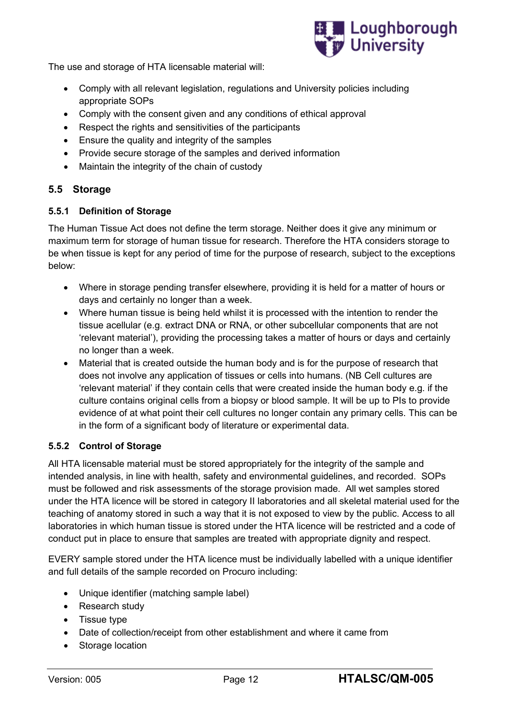

The use and storage of HTA licensable material will:

- Comply with all relevant legislation, regulations and University policies including appropriate SOPs
- Comply with the consent given and any conditions of ethical approval
- Respect the rights and sensitivities of the participants
- Ensure the quality and integrity of the samples
- Provide secure storage of the samples and derived information
- Maintain the integrity of the chain of custody

#### <span id="page-14-0"></span>**5.5 Storage**

#### <span id="page-14-1"></span>**5.5.1 Definition of Storage**

The Human Tissue Act does not define the term storage. Neither does it give any minimum or maximum term for storage of human tissue for research. Therefore the HTA considers storage to be when tissue is kept for any period of time for the purpose of research, subject to the exceptions below:

- Where in storage pending transfer elsewhere, providing it is held for a matter of hours or days and certainly no longer than a week.
- Where human tissue is being held whilst it is processed with the intention to render the tissue acellular (e.g. extract DNA or RNA, or other subcellular components that are not 'relevant material'), providing the processing takes a matter of hours or days and certainly no longer than a week.
- Material that is created outside the human body and is for the purpose of research that does not involve any application of tissues or cells into humans. (NB Cell cultures are 'relevant material' if they contain cells that were created inside the human body e.g. if the culture contains original cells from a biopsy or blood sample. It will be up to PIs to provide evidence of at what point their cell cultures no longer contain any primary cells. This can be in the form of a significant body of literature or experimental data.

#### <span id="page-14-2"></span>**5.5.2 Control of Storage**

All HTA licensable material must be stored appropriately for the integrity of the sample and intended analysis, in line with health, safety and environmental guidelines, and recorded. SOPs must be followed and risk assessments of the storage provision made. All wet samples stored under the HTA licence will be stored in category II laboratories and all skeletal material used for the teaching of anatomy stored in such a way that it is not exposed to view by the public. Access to all laboratories in which human tissue is stored under the HTA licence will be restricted and a code of conduct put in place to ensure that samples are treated with appropriate dignity and respect.

EVERY sample stored under the HTA licence must be individually labelled with a unique identifier and full details of the sample recorded on Procuro including:

- Unique identifier (matching sample label)
- Research study
- Tissue type
- Date of collection/receipt from other establishment and where it came from
- Storage location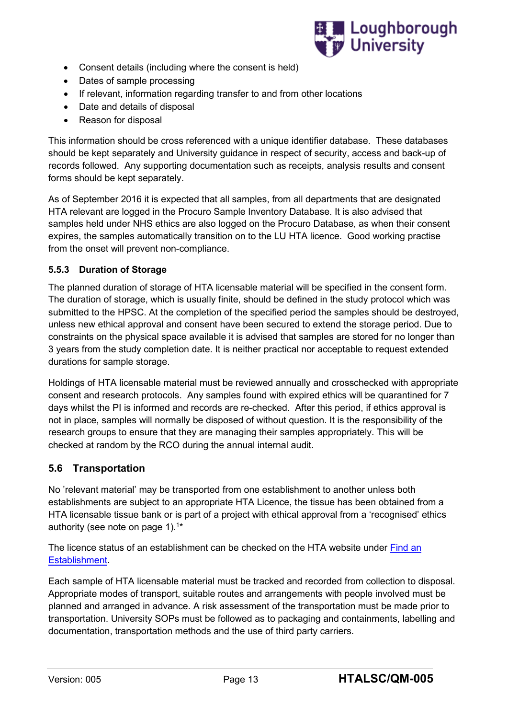

- Consent details (including where the consent is held)
- Dates of sample processing
- If relevant, information regarding transfer to and from other locations
- Date and details of disposal
- Reason for disposal

This information should be cross referenced with a unique identifier database. These databases should be kept separately and University guidance in respect of security, access and back-up of records followed. Any supporting documentation such as receipts, analysis results and consent forms should be kept separately.

As of September 2016 it is expected that all samples, from all departments that are designated HTA relevant are logged in the Procuro Sample Inventory Database. It is also advised that samples held under NHS ethics are also logged on the Procuro Database, as when their consent expires, the samples automatically transition on to the LU HTA licence. Good working practise from the onset will prevent non-compliance.

#### <span id="page-15-0"></span>**5.5.3 Duration of Storage**

The planned duration of storage of HTA licensable material will be specified in the consent form. The duration of storage, which is usually finite, should be defined in the study protocol which was submitted to the HPSC. At the completion of the specified period the samples should be destroyed, unless new ethical approval and consent have been secured to extend the storage period. Due to constraints on the physical space available it is advised that samples are stored for no longer than 3 years from the study completion date. It is neither practical nor acceptable to request extended durations for sample storage.

Holdings of HTA licensable material must be reviewed annually and crosschecked with appropriate consent and research protocols. Any samples found with expired ethics will be quarantined for 7 days whilst the PI is informed and records are re-checked. After this period, if ethics approval is not in place, samples will normally be disposed of without question. It is the responsibility of the research groups to ensure that they are managing their samples appropriately. This will be checked at random by the RCO during the annual internal audit.

#### <span id="page-15-1"></span>**5.6 Transportation**

No 'relevant material' may be transported from one establishment to another unless both establishments are subject to an appropriate HTA Licence, the tissue has been obtained from a HTA licensable tissue bank or is part of a project with ethical approval from a 'recognised' ethics authority (see note on page 1).<sup>1\*</sup>

The licence status of an establishment can be checked on the HTA website under [Find an](https://www.hta.gov.uk/establishments)  [Establishment.](https://www.hta.gov.uk/establishments)

Each sample of HTA licensable material must be tracked and recorded from collection to disposal. Appropriate modes of transport, suitable routes and arrangements with people involved must be planned and arranged in advance. A risk assessment of the transportation must be made prior to transportation. University SOPs must be followed as to packaging and containments, labelling and documentation, transportation methods and the use of third party carriers.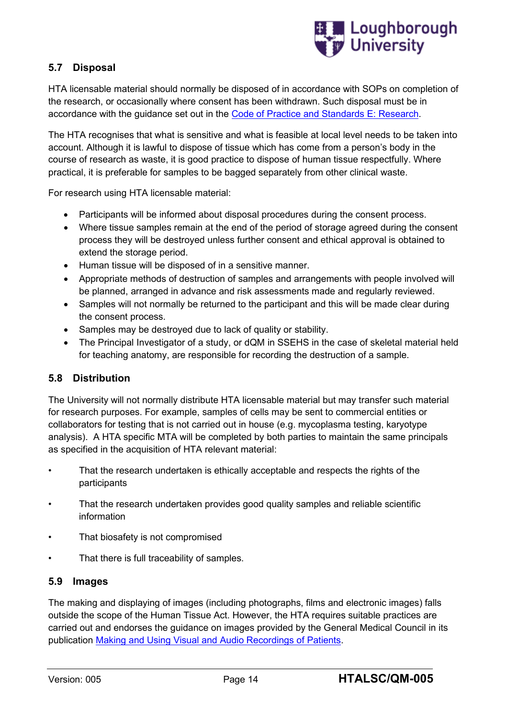

## <span id="page-16-0"></span>**5.7 Disposal**

HTA licensable material should normally be disposed of in accordance with SOPs on completion of the research, or occasionally where consent has been withdrawn. Such disposal must be in accordance with the guidance set out in the [Code of Practice and Standards E: Research.](https://www.hta.gov.uk/sites/default/files/Code%20E.pdf)

The HTA recognises that what is sensitive and what is feasible at local level needs to be taken into account. Although it is lawful to dispose of tissue which has come from a person's body in the course of research as waste, it is good practice to dispose of human tissue respectfully. Where practical, it is preferable for samples to be bagged separately from other clinical waste.

For research using HTA licensable material:

- Participants will be informed about disposal procedures during the consent process.
- Where tissue samples remain at the end of the period of storage agreed during the consent process they will be destroyed unless further consent and ethical approval is obtained to extend the storage period.
- Human tissue will be disposed of in a sensitive manner.
- Appropriate methods of destruction of samples and arrangements with people involved will be planned, arranged in advance and risk assessments made and regularly reviewed.
- Samples will not normally be returned to the participant and this will be made clear during the consent process.
- Samples may be destroyed due to lack of quality or stability.
- The Principal Investigator of a study, or dQM in SSEHS in the case of skeletal material held for teaching anatomy, are responsible for recording the destruction of a sample.

#### <span id="page-16-1"></span>**5.8 Distribution**

The University will not normally distribute HTA licensable material but may transfer such material for research purposes. For example, samples of cells may be sent to commercial entities or collaborators for testing that is not carried out in house (e.g. mycoplasma testing, karyotype analysis). A HTA specific MTA will be completed by both parties to maintain the same principals as specified in the acquisition of HTA relevant material:

- That the research undertaken is ethically acceptable and respects the rights of the participants
- That the research undertaken provides good quality samples and reliable scientific information
- That biosafety is not compromised
- That there is full traceability of samples.

#### <span id="page-16-2"></span>**5.9 Images**

The making and displaying of images (including photographs, films and electronic images) falls outside the scope of the Human Tissue Act. However, the HTA requires suitable practices are carried out and endorses the guidance on images provided by the General Medical Council in its publication [Making and Using Visual and Audio Recordings of Patients.](http://www.gmc-uk.org/guidance/ethical_guidance/making_audiovisual.asp)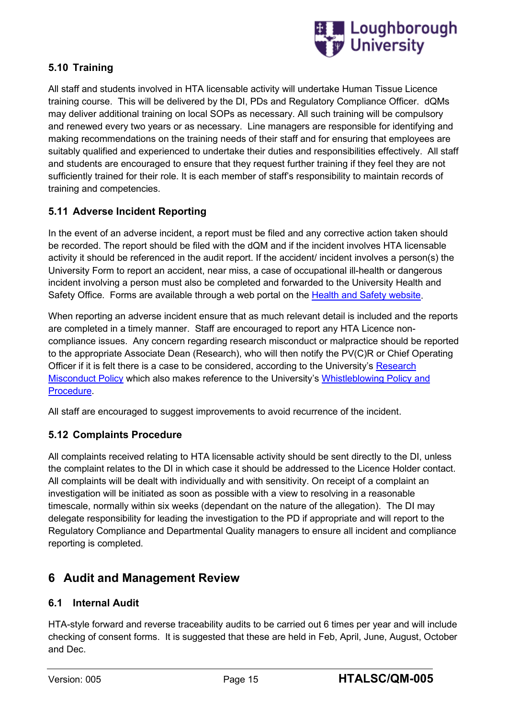

## <span id="page-17-0"></span>**5.10 Training**

All staff and students involved in HTA licensable activity will undertake Human Tissue Licence training course. This will be delivered by the DI, PDs and Regulatory Compliance Officer. dQMs may deliver additional training on local SOPs as necessary. All such training will be compulsory and renewed every two years or as necessary. Line managers are responsible for identifying and making recommendations on the training needs of their staff and for ensuring that employees are suitably qualified and experienced to undertake their duties and responsibilities effectively. All staff and students are encouraged to ensure that they request further training if they feel they are not sufficiently trained for their role. It is each member of staff's responsibility to maintain records of training and competencies.

## <span id="page-17-1"></span>**5.11 Adverse Incident Reporting**

In the event of an adverse incident, a report must be filed and any corrective action taken should be recorded. The report should be filed with the dQM and if the incident involves HTA licensable activity it should be referenced in the audit report. If the accident/ incident involves a person(s) the University Form to report an accident, near miss, a case of occupational ill-health or dangerous incident involving a person must also be completed and forwarded to the University Health and Safety Office. Forms are available through a web portal on the [Health and Safety website.](http://www.lboro.ac.uk/services/health-safety/forms/)

When reporting an adverse incident ensure that as much relevant detail is included and the reports are completed in a timely manner. Staff are encouraged to report any HTA Licence noncompliance issues. Any concern regarding research misconduct or malpractice should be reported to the appropriate Associate Dean (Research), who will then notify the PV(C)R or Chief Operating Officer if it is felt there is a case to be considered, according to the University's [Research](http://www.lboro.ac.uk/media/wwwlboroacuk/content/universitycommittees/ethicsapprovalshumanparticipantssub-committee/Research%20Misconduct%20policy.pdf)  [Misconduct Policy](http://www.lboro.ac.uk/media/wwwlboroacuk/content/universitycommittees/ethicsapprovalshumanparticipantssub-committee/Research%20Misconduct%20policy.pdf) which also makes reference to the University's [Whistleblowing Policy and](https://www.lboro.ac.uk/media/wwwlboroacuk/external/content/services/hr/downloads/Whistleblowing%20policy.pdf)  [Procedure.](https://www.lboro.ac.uk/media/wwwlboroacuk/external/content/services/hr/downloads/Whistleblowing%20policy.pdf)

All staff are encouraged to suggest improvements to avoid recurrence of the incident.

## <span id="page-17-2"></span>**5.12 Complaints Procedure**

All complaints received relating to HTA licensable activity should be sent directly to the DI, unless the complaint relates to the DI in which case it should be addressed to the Licence Holder contact. All complaints will be dealt with individually and with sensitivity. On receipt of a complaint an investigation will be initiated as soon as possible with a view to resolving in a reasonable timescale, normally within six weeks (dependant on the nature of the allegation). The DI may delegate responsibility for leading the investigation to the PD if appropriate and will report to the Regulatory Compliance and Departmental Quality managers to ensure all incident and compliance reporting is completed.

## **6 Audit and Management Review**

## <span id="page-17-3"></span>**6.1 Internal Audit**

HTA-style forward and reverse traceability audits to be carried out 6 times per year and will include checking of consent forms. It is suggested that these are held in Feb, April, June, August, October and Dec.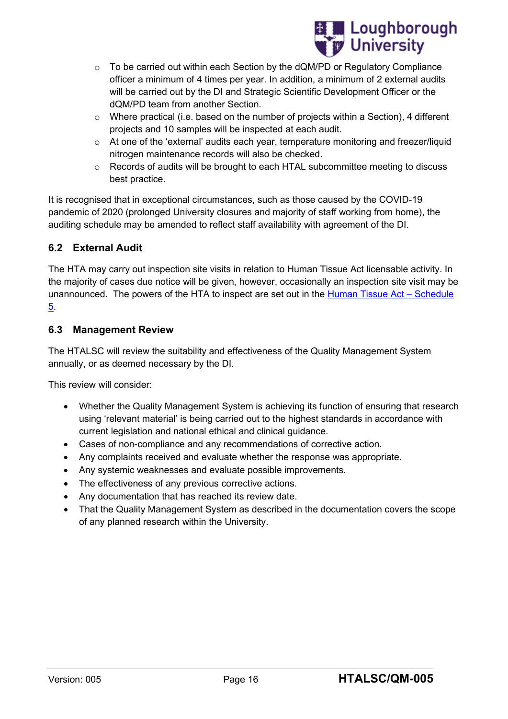

- $\circ$  To be carried out within each Section by the dQM/PD or Regulatory Compliance officer a minimum of 4 times per year. In addition, a minimum of 2 external audits will be carried out by the DI and Strategic Scientific Development Officer or the dQM/PD team from another Section.
- o Where practical (i.e. based on the number of projects within a Section), 4 different projects and 10 samples will be inspected at each audit.
- $\circ$  At one of the 'external' audits each year, temperature monitoring and freezer/liquid nitrogen maintenance records will also be checked.
- o Records of audits will be brought to each HTAL subcommittee meeting to discuss best practice.

It is recognised that in exceptional circumstances, such as those caused by the COVID-19 pandemic of 2020 (prolonged University closures and majority of staff working from home), the auditing schedule may be amended to reflect staff availability with agreement of the DI.

## <span id="page-18-0"></span>**6.2 External Audit**

The HTA may carry out inspection site visits in relation to Human Tissue Act licensable activity. In the majority of cases due notice will be given, however, occasionally an inspection site visit may be unannounced. The powers of the HTA to inspect are set out in the [Human Tissue Act –](http://www.legislation.gov.uk/ukpga/2004/30/schedule/5) Schedule [5.](http://www.legislation.gov.uk/ukpga/2004/30/schedule/5)

#### <span id="page-18-1"></span>**6.3 Management Review**

The HTALSC will review the suitability and effectiveness of the Quality Management System annually, or as deemed necessary by the DI.

This review will consider:

- Whether the Quality Management System is achieving its function of ensuring that research using 'relevant material' is being carried out to the highest standards in accordance with current legislation and national ethical and clinical guidance.
- Cases of non-compliance and any recommendations of corrective action.
- Any complaints received and evaluate whether the response was appropriate.
- Any systemic weaknesses and evaluate possible improvements.
- The effectiveness of any previous corrective actions.
- Any documentation that has reached its review date.
- That the Quality Management System as described in the documentation covers the scope of any planned research within the University.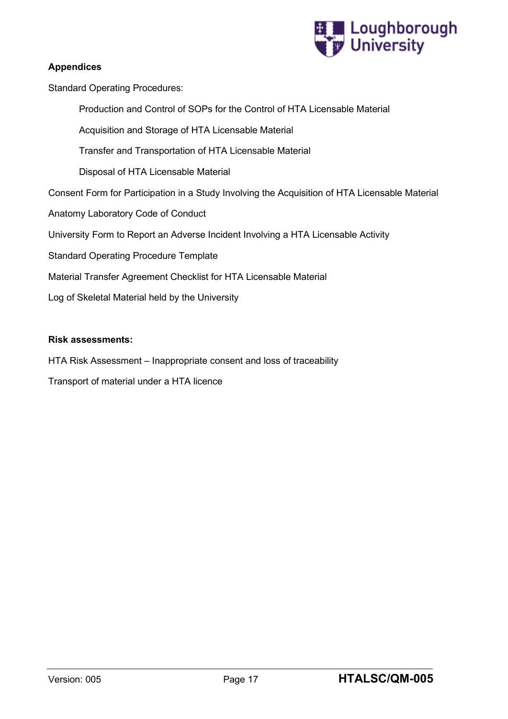

#### **Appendices**

Standard Operating Procedures:

Production and Control of SOPs for the Control of HTA Licensable Material

Acquisition and Storage of HTA Licensable Material

Transfer and Transportation of HTA Licensable Material

Disposal of HTA Licensable Material

Consent Form for Participation in a Study Involving the Acquisition of HTA Licensable Material

Anatomy Laboratory Code of Conduct

University Form to Report an Adverse Incident Involving a HTA Licensable Activity

Standard Operating Procedure Template

Material Transfer Agreement Checklist for HTA Licensable Material

Log of Skeletal Material held by the University

#### **Risk assessments:**

HTA Risk Assessment – Inappropriate consent and loss of traceability

Transport of material under a HTA licence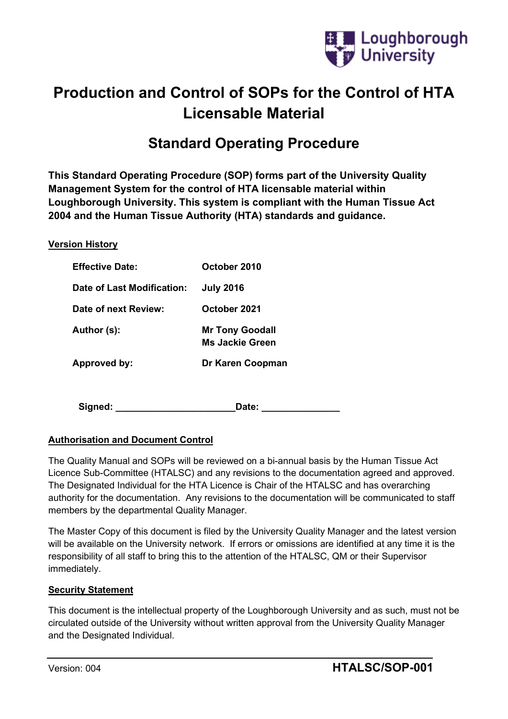

# **Production and Control of SOPs for the Control of HTA Licensable Material**

# **Standard Operating Procedure**

**This Standard Operating Procedure (SOP) forms part of the University Quality Management System for the control of HTA licensable material within Loughborough University. This system is compliant with the Human Tissue Act 2004 and the Human Tissue Authority (HTA) standards and guidance.**

#### **Version History**

| <b>Effective Date:</b>     | October 2010                                     |
|----------------------------|--------------------------------------------------|
| Date of Last Modification: | <b>July 2016</b>                                 |
| Date of next Review:       | October 2021                                     |
| Author (s):                | <b>Mr Tony Goodall</b><br><b>Ms Jackie Green</b> |
| Approved by:               | Dr Karen Coopman                                 |
|                            |                                                  |

Signed: \_\_\_\_\_\_\_\_\_\_\_\_\_\_\_\_\_\_\_\_\_\_\_\_\_\_\_\_\_\_\_\_\_\_\_Date: \_\_\_\_\_\_\_\_\_\_\_\_\_\_\_\_\_\_\_\_\_\_\_\_\_\_\_\_\_\_\_\_

## **Authorisation and Document Control**

The Quality Manual and SOPs will be reviewed on a bi-annual basis by the Human Tissue Act Licence Sub-Committee (HTALSC) and any revisions to the documentation agreed and approved. The Designated Individual for the HTA Licence is Chair of the HTALSC and has overarching authority for the documentation. Any revisions to the documentation will be communicated to staff members by the departmental Quality Manager.

The Master Copy of this document is filed by the University Quality Manager and the latest version will be available on the University network. If errors or omissions are identified at any time it is the responsibility of all staff to bring this to the attention of the HTALSC, QM or their Supervisor immediately.

#### **Security Statement**

This document is the intellectual property of the Loughborough University and as such, must not be circulated outside of the University without written approval from the University Quality Manager and the Designated Individual.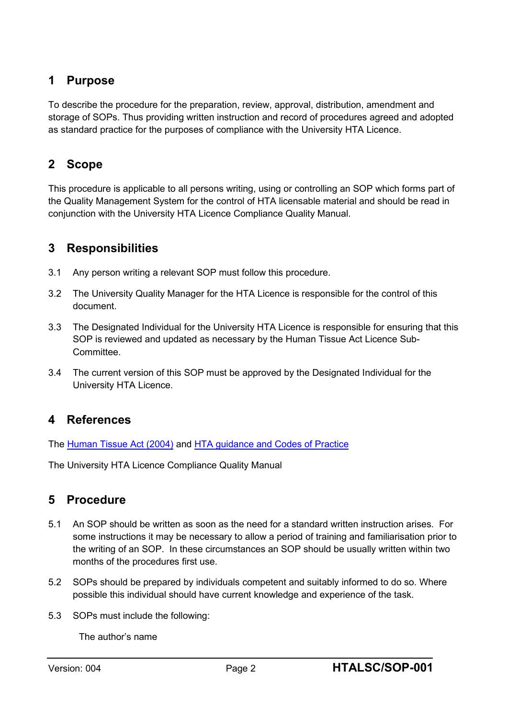## **1 Purpose**

To describe the procedure for the preparation, review, approval, distribution, amendment and storage of SOPs. Thus providing written instruction and record of procedures agreed and adopted as standard practice for the purposes of compliance with the University HTA Licence.

## **2 Scope**

This procedure is applicable to all persons writing, using or controlling an SOP which forms part of the Quality Management System for the control of HTA licensable material and should be read in conjunction with the University HTA Licence Compliance Quality Manual.

## **3 Responsibilities**

- 3.1 Any person writing a relevant SOP must follow this procedure.
- 3.2 The University Quality Manager for the HTA Licence is responsible for the control of this document.
- 3.3 The Designated Individual for the University HTA Licence is responsible for ensuring that this SOP is reviewed and updated as necessary by the Human Tissue Act Licence Sub-**Committee**
- 3.4 The current version of this SOP must be approved by the Designated Individual for the University HTA Licence.

## **4 References**

The [Human Tissue Act \(2004\)](http://www.legislation.gov.uk/ukpga/2004/30/contents) and [HTA guidance and Codes](http://www.hta.gov.uk/legislationpoliciesandcodesofpractice/codesofpractice.cfm) of Practice

The University HTA Licence Compliance Quality Manual

## **5 Procedure**

- 5.1 An SOP should be written as soon as the need for a standard written instruction arises. For some instructions it may be necessary to allow a period of training and familiarisation prior to the writing of an SOP. In these circumstances an SOP should be usually written within two months of the procedures first use.
- 5.2 SOPs should be prepared by individuals competent and suitably informed to do so. Where possible this individual should have current knowledge and experience of the task.
- 5.3 SOPs must include the following:

The author's name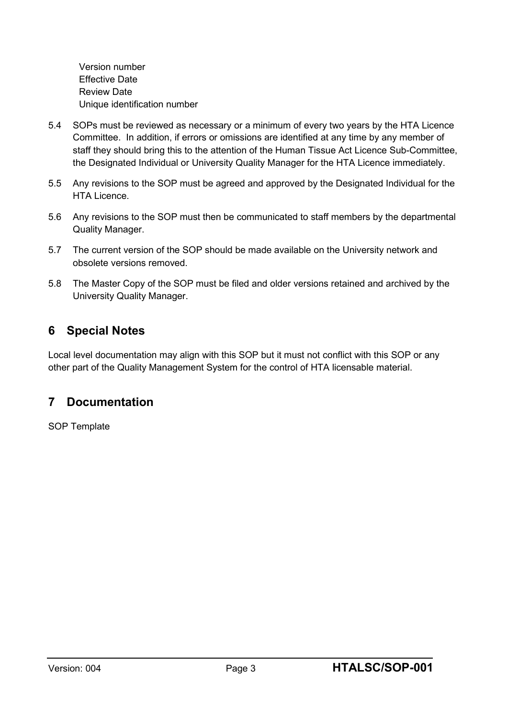Version number Effective Date Review Date Unique identification number

- 5.4 SOPs must be reviewed as necessary or a minimum of every two years by the HTA Licence Committee. In addition, if errors or omissions are identified at any time by any member of staff they should bring this to the attention of the Human Tissue Act Licence Sub-Committee, the Designated Individual or University Quality Manager for the HTA Licence immediately.
- 5.5 Any revisions to the SOP must be agreed and approved by the Designated Individual for the HTA Licence.
- 5.6 Any revisions to the SOP must then be communicated to staff members by the departmental Quality Manager.
- 5.7 The current version of the SOP should be made available on the University network and obsolete versions removed.
- 5.8 The Master Copy of the SOP must be filed and older versions retained and archived by the University Quality Manager.

## **6 Special Notes**

Local level documentation may align with this SOP but it must not conflict with this SOP or any other part of the Quality Management System for the control of HTA licensable material.

## **7 Documentation**

SOP Template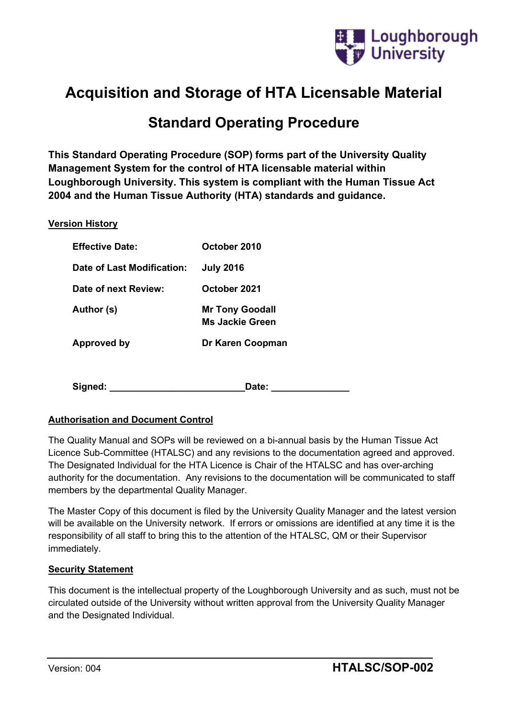

# **Acquisition and Storage of HTA Licensable Material**

# **Standard Operating Procedure**

**This Standard Operating Procedure (SOP) forms part of the University Quality Management System for the control of HTA licensable material within Loughborough University. This system is compliant with the Human Tissue Act 2004 and the Human Tissue Authority (HTA) standards and guidance.**

#### **Version History**

| <b>Effective Date:</b>     | October 2010                                     |
|----------------------------|--------------------------------------------------|
| Date of Last Modification: | <b>July 2016</b>                                 |
| Date of next Review:       | October 2021                                     |
| Author (s)                 | <b>Mr Tony Goodall</b><br><b>Ms Jackie Green</b> |
| Approved by                | Dr Karen Coopman                                 |

**Signed: \_\_\_\_\_\_\_\_\_\_\_\_\_\_\_\_\_\_\_\_\_\_\_\_\_\_Date: \_\_\_\_\_\_\_\_\_\_\_\_\_\_\_**

#### **Authorisation and Document Control**

The Quality Manual and SOPs will be reviewed on a bi-annual basis by the Human Tissue Act Licence Sub-Committee (HTALSC) and any revisions to the documentation agreed and approved. The Designated Individual for the HTA Licence is Chair of the HTALSC and has over-arching authority for the documentation. Any revisions to the documentation will be communicated to staff members by the departmental Quality Manager.

The Master Copy of this document is filed by the University Quality Manager and the latest version will be available on the University network. If errors or omissions are identified at any time it is the responsibility of all staff to bring this to the attention of the HTALSC, QM or their Supervisor immediately.

#### **Security Statement**

This document is the intellectual property of the Loughborough University and as such, must not be circulated outside of the University without written approval from the University Quality Manager and the Designated Individual.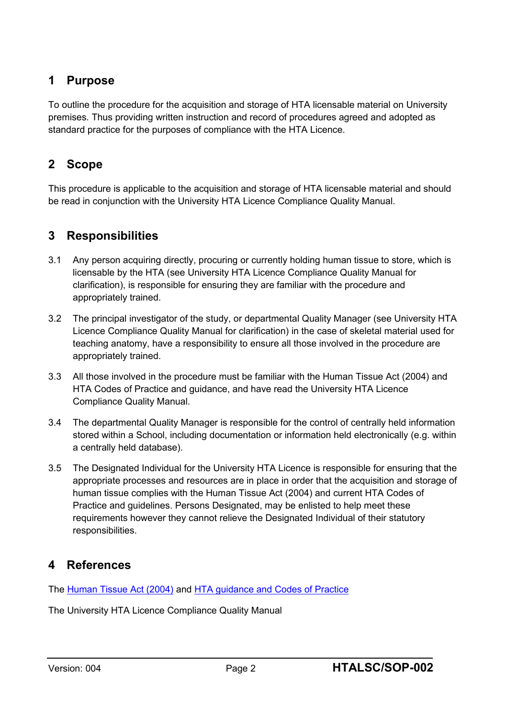## **1 Purpose**

To outline the procedure for the acquisition and storage of HTA licensable material on University premises. Thus providing written instruction and record of procedures agreed and adopted as standard practice for the purposes of compliance with the HTA Licence.

## **2 Scope**

This procedure is applicable to the acquisition and storage of HTA licensable material and should be read in conjunction with the University HTA Licence Compliance Quality Manual.

## **3 Responsibilities**

- 3.1 Any person acquiring directly, procuring or currently holding human tissue to store, which is licensable by the HTA (see University HTA Licence Compliance Quality Manual for clarification), is responsible for ensuring they are familiar with the procedure and appropriately trained.
- 3.2 The principal investigator of the study, or departmental Quality Manager (see University HTA Licence Compliance Quality Manual for clarification) in the case of skeletal material used for teaching anatomy, have a responsibility to ensure all those involved in the procedure are appropriately trained.
- 3.3 All those involved in the procedure must be familiar with the Human Tissue Act (2004) and HTA Codes of Practice and guidance, and have read the University HTA Licence Compliance Quality Manual.
- 3.4 The departmental Quality Manager is responsible for the control of centrally held information stored within a School, including documentation or information held electronically (e.g. within a centrally held database).
- 3.5 The Designated Individual for the University HTA Licence is responsible for ensuring that the appropriate processes and resources are in place in order that the acquisition and storage of human tissue complies with the Human Tissue Act (2004) and current HTA Codes of Practice and guidelines. Persons Designated, may be enlisted to help meet these requirements however they cannot relieve the Designated Individual of their statutory responsibilities.

## **4 References**

The [Human Tissue Act \(2004\)](http://www.legislation.gov.uk/ukpga/2004/30/contents) and [HTA guidance and Codes](http://www.hta.gov.uk/legislationpoliciesandcodesofpractice/codesofpractice.cfm) of Practice

The University HTA Licence Compliance Quality Manual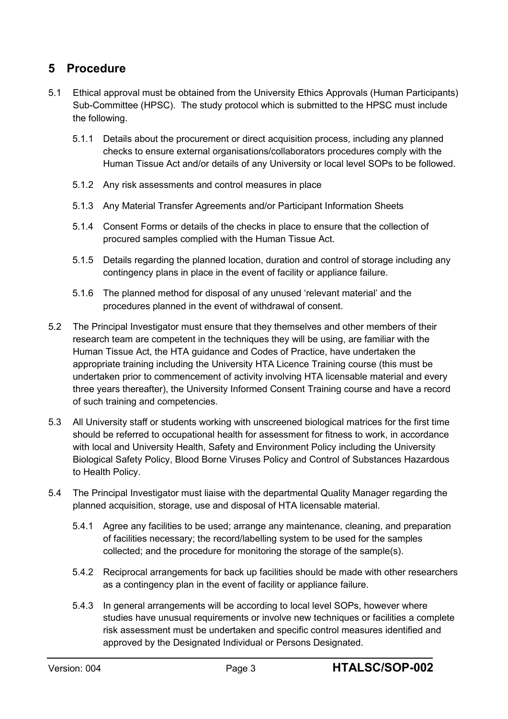## **5 Procedure**

- 5.1 Ethical approval must be obtained from the University Ethics Approvals (Human Participants) Sub-Committee (HPSC). The study protocol which is submitted to the HPSC must include the following.
	- 5.1.1 Details about the procurement or direct acquisition process, including any planned checks to ensure external organisations/collaborators procedures comply with the Human Tissue Act and/or details of any University or local level SOPs to be followed.
	- 5.1.2 Any risk assessments and control measures in place
	- 5.1.3 Any Material Transfer Agreements and/or Participant Information Sheets
	- 5.1.4 Consent Forms or details of the checks in place to ensure that the collection of procured samples complied with the Human Tissue Act.
	- 5.1.5 Details regarding the planned location, duration and control of storage including any contingency plans in place in the event of facility or appliance failure.
	- 5.1.6 The planned method for disposal of any unused 'relevant material' and the procedures planned in the event of withdrawal of consent.
- 5.2 The Principal Investigator must ensure that they themselves and other members of their research team are competent in the techniques they will be using, are familiar with the Human Tissue Act, the HTA guidance and Codes of Practice, have undertaken the appropriate training including the University HTA Licence Training course (this must be undertaken prior to commencement of activity involving HTA licensable material and every three years thereafter), the University Informed Consent Training course and have a record of such training and competencies.
- 5.3 All University staff or students working with unscreened biological matrices for the first time should be referred to occupational health for assessment for fitness to work, in accordance with local and University Health, Safety and Environment Policy including the University Biological Safety Policy, Blood Borne Viruses Policy and Control of Substances Hazardous to Health Policy.
- 5.4 The Principal Investigator must liaise with the departmental Quality Manager regarding the planned acquisition, storage, use and disposal of HTA licensable material.
	- 5.4.1 Agree any facilities to be used; arrange any maintenance, cleaning, and preparation of facilities necessary; the record/labelling system to be used for the samples collected; and the procedure for monitoring the storage of the sample(s).
	- 5.4.2 Reciprocal arrangements for back up facilities should be made with other researchers as a contingency plan in the event of facility or appliance failure.
	- 5.4.3 In general arrangements will be according to local level SOPs, however where studies have unusual requirements or involve new techniques or facilities a complete risk assessment must be undertaken and specific control measures identified and approved by the Designated Individual or Persons Designated.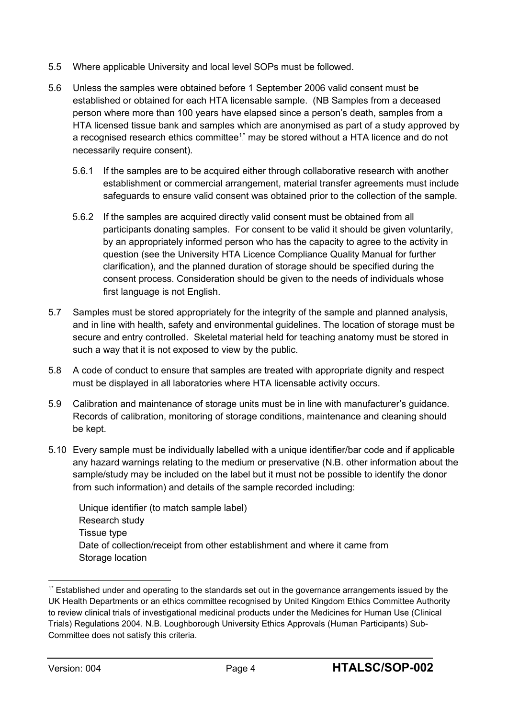- 5.5 Where applicable University and local level SOPs must be followed.
- 5.6 Unless the samples were obtained before 1 September 2006 valid consent must be established or obtained for each HTA licensable sample. (NB Samples from a deceased person where more than 100 years have elapsed since a person's death, samples from a HTA licensed tissue bank and samples which are anonymised as part of a study approved by a recognised research ethics committee<sup>1\*</sup> may be stored without a HTA licence and do not necessarily require consent).
	- 5.6.1 If the samples are to be acquired either through collaborative research with another establishment or commercial arrangement, material transfer agreements must include safeguards to ensure valid consent was obtained prior to the collection of the sample.
	- 5.6.2 If the samples are acquired directly valid consent must be obtained from all participants donating samples. For consent to be valid it should be given voluntarily, by an appropriately informed person who has the capacity to agree to the activity in question (see the University HTA Licence Compliance Quality Manual for further clarification), and the planned duration of storage should be specified during the consent process. Consideration should be given to the needs of individuals whose first language is not English.
- 5.7 Samples must be stored appropriately for the integrity of the sample and planned analysis, and in line with health, safety and environmental guidelines. The location of storage must be secure and entry controlled. Skeletal material held for teaching anatomy must be stored in such a way that it is not exposed to view by the public.
- 5.8 A code of conduct to ensure that samples are treated with appropriate dignity and respect must be displayed in all laboratories where HTA licensable activity occurs.
- 5.9 Calibration and maintenance of storage units must be in line with manufacturer's guidance. Records of calibration, monitoring of storage conditions, maintenance and cleaning should be kept.
- 5.10 Every sample must be individually labelled with a unique identifier/bar code and if applicable any hazard warnings relating to the medium or preservative (N.B. other information about the sample/study may be included on the label but it must not be possible to identify the donor from such information) and details of the sample recorded including:

Unique identifier (to match sample label) Research study Tissue type Date of collection/receipt from other establishment and where it came from Storage location

<sup>1\*</sup> Established under and operating to the standards set out in the governance arrangements issued by the UK Health Departments or an ethics committee recognised by United Kingdom Ethics Committee Authority to review clinical trials of investigational medicinal products under the Medicines for Human Use (Clinical Trials) Regulations 2004. N.B. Loughborough University Ethics Approvals (Human Participants) Sub-Committee does not satisfy this criteria.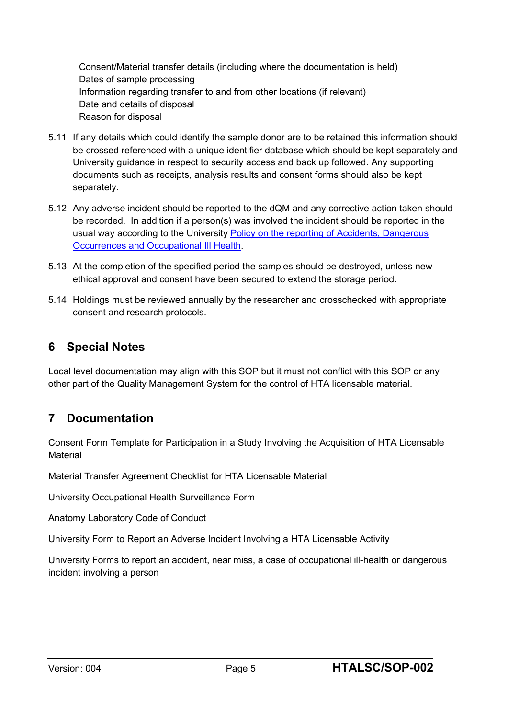Consent/Material transfer details (including where the documentation is held) Dates of sample processing Information regarding transfer to and from other locations (if relevant) Date and details of disposal Reason for disposal

- 5.11 If any details which could identify the sample donor are to be retained this information should be crossed referenced with a unique identifier database which should be kept separately and University guidance in respect to security access and back up followed. Any supporting documents such as receipts, analysis results and consent forms should also be kept separately.
- 5.12 Any adverse incident should be reported to the dQM and any corrective action taken should be recorded. In addition if a person(s) was involved the incident should be reported in the usual way according to the University Policy on the reporting of Accidents, Dangerous [Occurrences and Occupational Ill Health.](http://www.lboro.ac.uk/media/wwwlboroacuk/content/healthandsafety/downloads/Policy%20on%20the%20Reporting%20and%20Investigation%20of%20Dec%202017-Feb%202018%20Update.pdf)
- 5.13 At the completion of the specified period the samples should be destroyed, unless new ethical approval and consent have been secured to extend the storage period.
- 5.14 Holdings must be reviewed annually by the researcher and crosschecked with appropriate consent and research protocols.

## **6 Special Notes**

Local level documentation may align with this SOP but it must not conflict with this SOP or any other part of the Quality Management System for the control of HTA licensable material.

## **7 Documentation**

Consent Form Template for Participation in a Study Involving the Acquisition of HTA Licensable Material

Material Transfer Agreement Checklist for HTA Licensable Material

University Occupational Health Surveillance Form

Anatomy Laboratory Code of Conduct

University Form to Report an Adverse Incident Involving a HTA Licensable Activity

University Forms to report an accident, near miss, a case of occupational ill-health or dangerous incident involving a person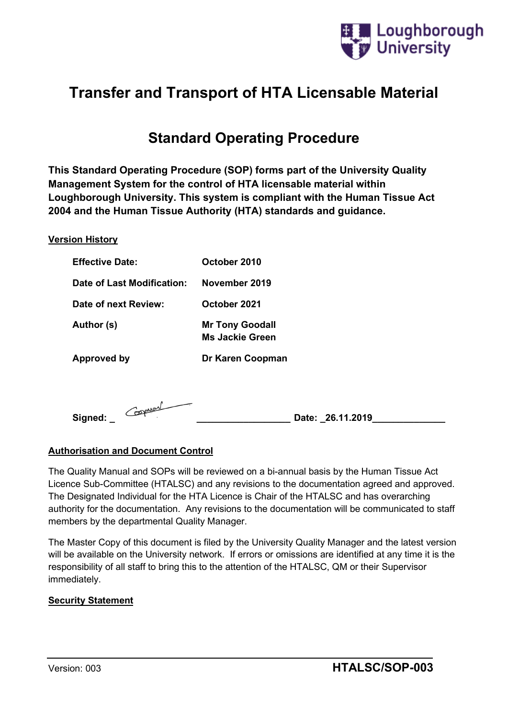

# **Transfer and Transport of HTA Licensable Material**

# **Standard Operating Procedure**

**This Standard Operating Procedure (SOP) forms part of the University Quality Management System for the control of HTA licensable material within Loughborough University. This system is compliant with the Human Tissue Act 2004 and the Human Tissue Authority (HTA) standards and guidance.**

#### **Version History**

| <b>Effective Date:</b>     | October 2010                                     |
|----------------------------|--------------------------------------------------|
| Date of Last Modification: | November 2019                                    |
| Date of next Review:       | October 2021                                     |
| Author (s)                 | <b>Mr Tony Goodall</b><br><b>Ms Jackie Green</b> |
| Approved by                | Dr Karen Coopman                                 |
|                            |                                                  |
| Coopman<br>Signed:         | Date: 26.11.2019                                 |

#### **Authorisation and Document Control**

The Quality Manual and SOPs will be reviewed on a bi-annual basis by the Human Tissue Act Licence Sub-Committee (HTALSC) and any revisions to the documentation agreed and approved. The Designated Individual for the HTA Licence is Chair of the HTALSC and has overarching authority for the documentation. Any revisions to the documentation will be communicated to staff members by the departmental Quality Manager.

The Master Copy of this document is filed by the University Quality Manager and the latest version will be available on the University network. If errors or omissions are identified at any time it is the responsibility of all staff to bring this to the attention of the HTALSC, QM or their Supervisor immediately.

#### **Security Statement**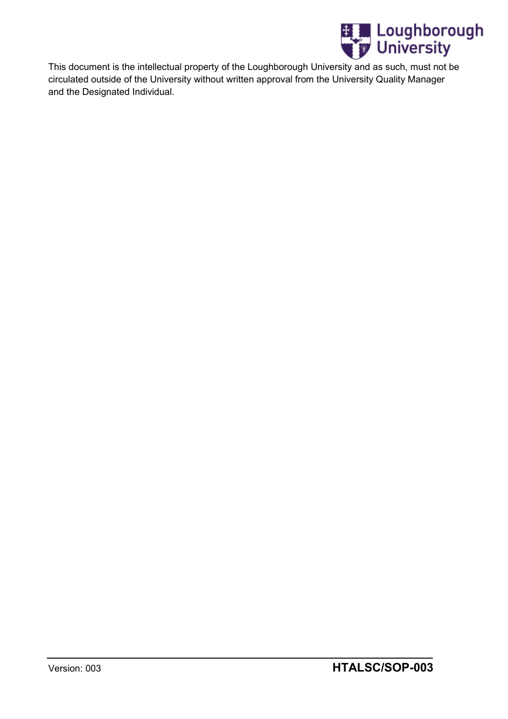

This document is the intellectual property of the Loughborough University and as such, must not be circulated outside of the University without written approval from the University Quality Manager and the Designated Individual.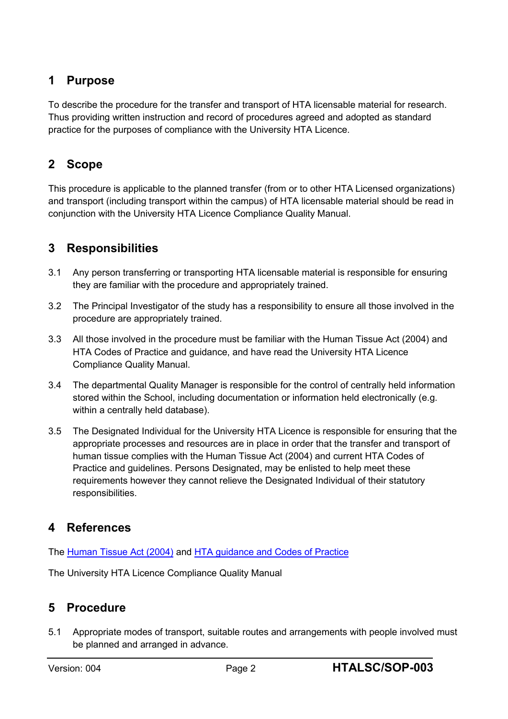## **1 Purpose**

To describe the procedure for the transfer and transport of HTA licensable material for research. Thus providing written instruction and record of procedures agreed and adopted as standard practice for the purposes of compliance with the University HTA Licence.

## **2 Scope**

This procedure is applicable to the planned transfer (from or to other HTA Licensed organizations) and transport (including transport within the campus) of HTA licensable material should be read in conjunction with the University HTA Licence Compliance Quality Manual.

## **3 Responsibilities**

- 3.1 Any person transferring or transporting HTA licensable material is responsible for ensuring they are familiar with the procedure and appropriately trained.
- 3.2 The Principal Investigator of the study has a responsibility to ensure all those involved in the procedure are appropriately trained.
- 3.3 All those involved in the procedure must be familiar with the Human Tissue Act (2004) and HTA Codes of Practice and guidance, and have read the University HTA Licence Compliance Quality Manual.
- 3.4 The departmental Quality Manager is responsible for the control of centrally held information stored within the School, including documentation or information held electronically (e.g. within a centrally held database).
- 3.5 The Designated Individual for the University HTA Licence is responsible for ensuring that the appropriate processes and resources are in place in order that the transfer and transport of human tissue complies with the Human Tissue Act (2004) and current HTA Codes of Practice and guidelines. Persons Designated, may be enlisted to help meet these requirements however they cannot relieve the Designated Individual of their statutory responsibilities.

## **4 References**

The [Human Tissue Act \(2004\)](http://www.legislation.gov.uk/ukpga/2004/30/contents) and [HTA guidance and Codes](http://www.hta.gov.uk/legislationpoliciesandcodesofpractice/codesofpractice.cfm) of Practice

The University HTA Licence Compliance Quality Manual

## **5 Procedure**

5.1 Appropriate modes of transport, suitable routes and arrangements with people involved must be planned and arranged in advance.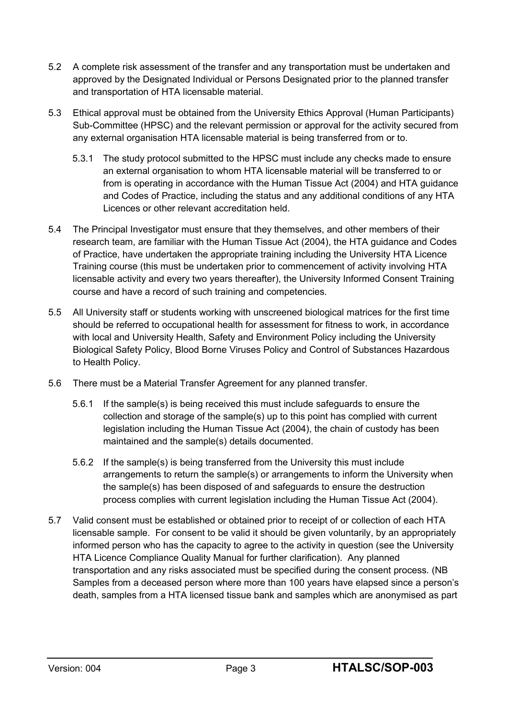- 5.2 A complete risk assessment of the transfer and any transportation must be undertaken and approved by the Designated Individual or Persons Designated prior to the planned transfer and transportation of HTA licensable material.
- 5.3 Ethical approval must be obtained from the University Ethics Approval (Human Participants) Sub-Committee (HPSC) and the relevant permission or approval for the activity secured from any external organisation HTA licensable material is being transferred from or to.
	- 5.3.1 The study protocol submitted to the HPSC must include any checks made to ensure an external organisation to whom HTA licensable material will be transferred to or from is operating in accordance with the Human Tissue Act (2004) and HTA guidance and Codes of Practice, including the status and any additional conditions of any HTA Licences or other relevant accreditation held.
- 5.4 The Principal Investigator must ensure that they themselves, and other members of their research team, are familiar with the Human Tissue Act (2004), the HTA guidance and Codes of Practice, have undertaken the appropriate training including the University HTA Licence Training course (this must be undertaken prior to commencement of activity involving HTA licensable activity and every two years thereafter), the University Informed Consent Training course and have a record of such training and competencies.
- 5.5 All University staff or students working with unscreened biological matrices for the first time should be referred to occupational health for assessment for fitness to work, in accordance with local and University Health, Safety and Environment Policy including the University Biological Safety Policy, Blood Borne Viruses Policy and Control of Substances Hazardous to Health Policy.
- 5.6 There must be a Material Transfer Agreement for any planned transfer.
	- 5.6.1 If the sample(s) is being received this must include safeguards to ensure the collection and storage of the sample(s) up to this point has complied with current legislation including the Human Tissue Act (2004), the chain of custody has been maintained and the sample(s) details documented.
	- 5.6.2 If the sample(s) is being transferred from the University this must include arrangements to return the sample(s) or arrangements to inform the University when the sample(s) has been disposed of and safeguards to ensure the destruction process complies with current legislation including the Human Tissue Act (2004).
- 5.7 Valid consent must be established or obtained prior to receipt of or collection of each HTA licensable sample. For consent to be valid it should be given voluntarily, by an appropriately informed person who has the capacity to agree to the activity in question (see the University HTA Licence Compliance Quality Manual for further clarification). Any planned transportation and any risks associated must be specified during the consent process. (NB Samples from a deceased person where more than 100 years have elapsed since a person's death, samples from a HTA licensed tissue bank and samples which are anonymised as part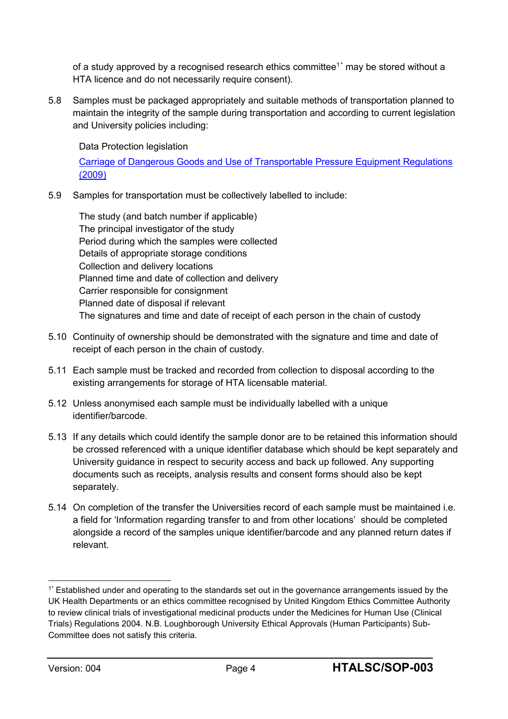of a study approved by a recognised research ethics committee $1^\star$  may be stored without a HTA licence and do not necessarily require consent).

5.8 Samples must be packaged appropriately and suitable methods of transportation planned to maintain the integrity of the sample during transportation and according to current legislation and University policies including:

Data Protection legislation

[Carriage of Dangerous Goods and Use of Transportable Pressure Equipment Regulations](http://www.legislation.gov.uk/uksi/2009/1348/contents/made)  [\(2009\)](http://www.legislation.gov.uk/uksi/2009/1348/contents/made)

5.9 Samples for transportation must be collectively labelled to include:

The study (and batch number if applicable) The principal investigator of the study Period during which the samples were collected Details of appropriate storage conditions Collection and delivery locations Planned time and date of collection and delivery Carrier responsible for consignment Planned date of disposal if relevant The signatures and time and date of receipt of each person in the chain of custody

- 5.10 Continuity of ownership should be demonstrated with the signature and time and date of receipt of each person in the chain of custody.
- 5.11 Each sample must be tracked and recorded from collection to disposal according to the existing arrangements for storage of HTA licensable material.
- 5.12 Unless anonymised each sample must be individually labelled with a unique identifier/barcode.
- 5.13 If any details which could identify the sample donor are to be retained this information should be crossed referenced with a unique identifier database which should be kept separately and University guidance in respect to security access and back up followed. Any supporting documents such as receipts, analysis results and consent forms should also be kept separately.
- 5.14 On completion of the transfer the Universities record of each sample must be maintained i.e. a field for 'Information regarding transfer to and from other locations' should be completed alongside a record of the samples unique identifier/barcode and any planned return dates if relevant.

<sup>1\*</sup> Established under and operating to the standards set out in the governance arrangements issued by the UK Health Departments or an ethics committee recognised by United Kingdom Ethics Committee Authority to review clinical trials of investigational medicinal products under the Medicines for Human Use (Clinical Trials) Regulations 2004. N.B. Loughborough University Ethical Approvals (Human Participants) Sub-Committee does not satisfy this criteria.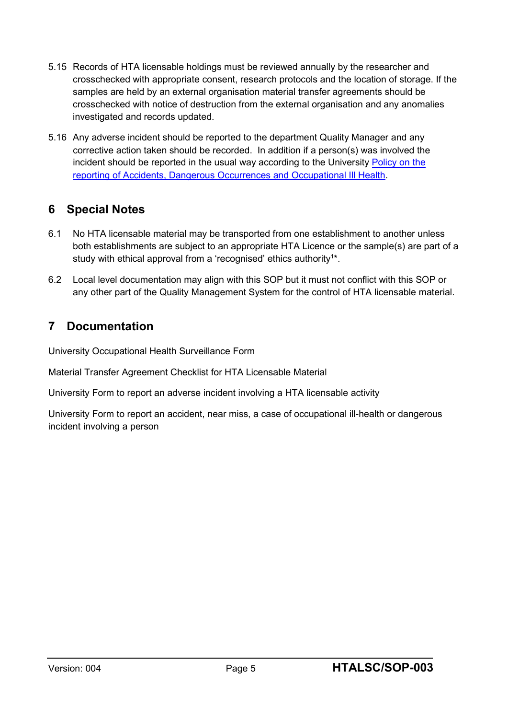- 5.15 Records of HTA licensable holdings must be reviewed annually by the researcher and crosschecked with appropriate consent, research protocols and the location of storage. If the samples are held by an external organisation material transfer agreements should be crosschecked with notice of destruction from the external organisation and any anomalies investigated and records updated.
- 5.16 Any adverse incident should be reported to the department Quality Manager and any corrective action taken should be recorded. In addition if a person(s) was involved the incident should be reported in the usual way according to the University Policy on the [reporting of Accidents, Dangerous Occurrences and Occupational Ill Health.](http://www.lboro.ac.uk/media/wwwlboroacuk/content/healthandsafety/downloads/Policy%20on%20the%20Reporting%20and%20Investigation%20of%20Dec%202017-Feb%202018%20Update.pdf)

## **6 Special Notes**

- 6.1 No HTA licensable material may be transported from one establishment to another unless both establishments are subject to an appropriate HTA Licence or the sample(s) are part of a study with ethical approval from a 'recognised' ethics authority<sup>1\*</sup>.
- 6.2 Local level documentation may align with this SOP but it must not conflict with this SOP or any other part of the Quality Management System for the control of HTA licensable material.

## **7 Documentation**

University Occupational Health Surveillance Form

Material Transfer Agreement Checklist for HTA Licensable Material

University Form to report an adverse incident involving a HTA licensable activity

University Form to report an accident, near miss, a case of occupational ill-health or dangerous incident involving a person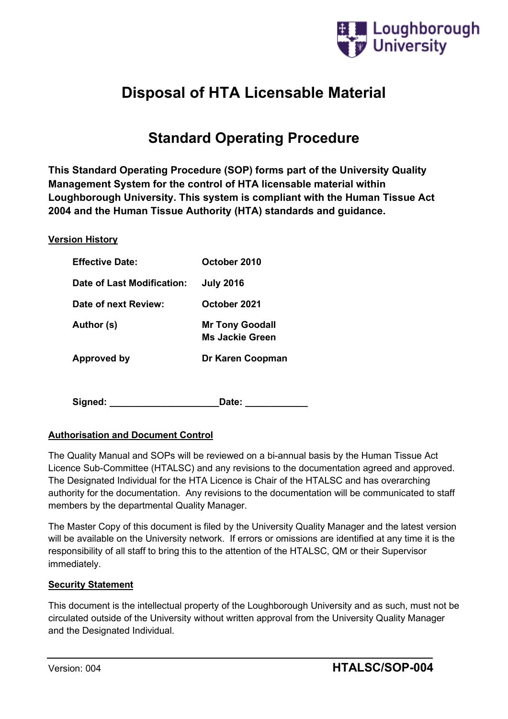

# **Disposal of HTA Licensable Material**

# **Standard Operating Procedure**

**This Standard Operating Procedure (SOP) forms part of the University Quality Management System for the control of HTA licensable material within Loughborough University. This system is compliant with the Human Tissue Act 2004 and the Human Tissue Authority (HTA) standards and guidance.**

#### **Version History**

| <b>Effective Date:</b>     | October 2010                                     |
|----------------------------|--------------------------------------------------|
| Date of Last Modification: | <b>July 2016</b>                                 |
| Date of next Review:       | October 2021                                     |
| Author (s)                 | <b>Mr Tony Goodall</b><br><b>Ms Jackie Green</b> |
| Approved by                | Dr Karen Coopman                                 |
|                            |                                                  |
| Signed:                    | Date:                                            |

## **Authorisation and Document Control**

The Quality Manual and SOPs will be reviewed on a bi-annual basis by the Human Tissue Act Licence Sub-Committee (HTALSC) and any revisions to the documentation agreed and approved. The Designated Individual for the HTA Licence is Chair of the HTALSC and has overarching authority for the documentation. Any revisions to the documentation will be communicated to staff members by the departmental Quality Manager.

The Master Copy of this document is filed by the University Quality Manager and the latest version will be available on the University network. If errors or omissions are identified at any time it is the responsibility of all staff to bring this to the attention of the HTALSC, QM or their Supervisor immediately.

#### **Security Statement**

This document is the intellectual property of the Loughborough University and as such, must not be circulated outside of the University without written approval from the University Quality Manager and the Designated Individual.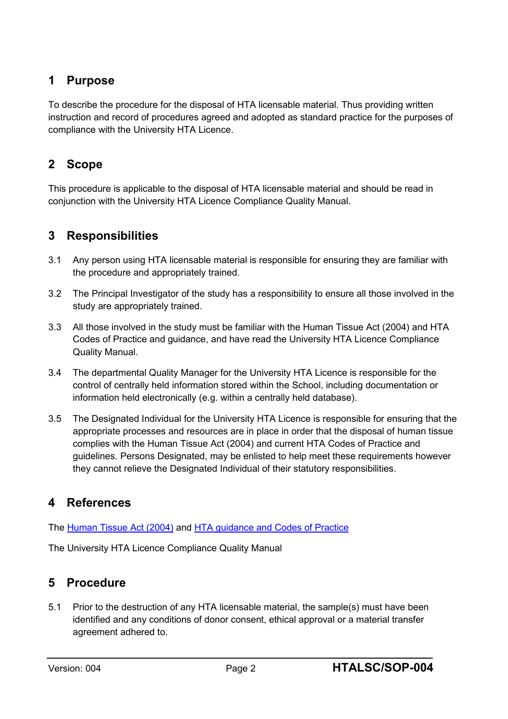## **1 Purpose**

To describe the procedure for the disposal of HTA licensable material. Thus providing written instruction and record of procedures agreed and adopted as standard practice for the purposes of compliance with the University HTA Licence.

## **2 Scope**

This procedure is applicable to the disposal of HTA licensable material and should be read in conjunction with the University HTA Licence Compliance Quality Manual.

## **3 Responsibilities**

- 3.1 Any person using HTA licensable material is responsible for ensuring they are familiar with the procedure and appropriately trained.
- 3.2 The Principal Investigator of the study has a responsibility to ensure all those involved in the study are appropriately trained.
- 3.3 All those involved in the study must be familiar with the Human Tissue Act (2004) and HTA Codes of Practice and guidance, and have read the University HTA Licence Compliance Quality Manual.
- 3.4 The departmental Quality Manager for the University HTA Licence is responsible for the control of centrally held information stored within the School, including documentation or information held electronically (e.g. within a centrally held database).
- 3.5 The Designated Individual for the University HTA Licence is responsible for ensuring that the appropriate processes and resources are in place in order that the disposal of human tissue complies with the Human Tissue Act (2004) and current HTA Codes of Practice and guidelines. Persons Designated, may be enlisted to help meet these requirements however they cannot relieve the Designated Individual of their statutory responsibilities.

## **4 References**

The [Human Tissue Act \(2004\)](http://www.legislation.gov.uk/ukpga/2004/30/contents) and [HTA guidance and Codes](http://www.hta.gov.uk/legislationpoliciesandcodesofpractice/codesofpractice.cfm) of Practice

The University HTA Licence Compliance Quality Manual

## **5 Procedure**

5.1 Prior to the destruction of any HTA licensable material, the sample(s) must have been identified and any conditions of donor consent, ethical approval or a material transfer agreement adhered to.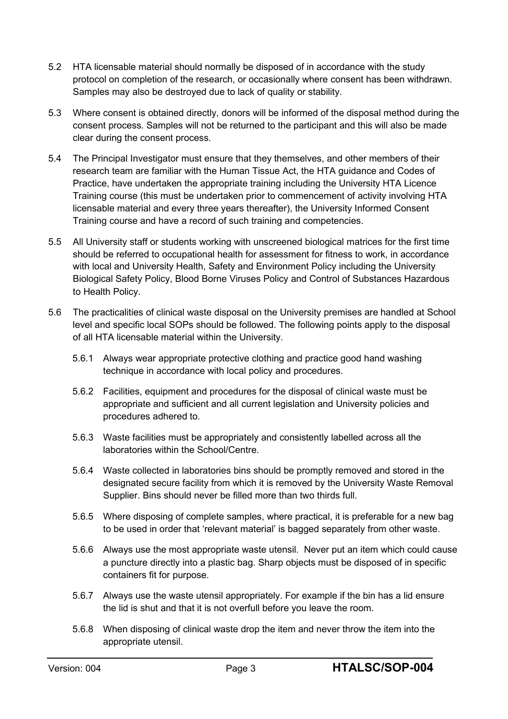- 5.2 HTA licensable material should normally be disposed of in accordance with the study protocol on completion of the research, or occasionally where consent has been withdrawn. Samples may also be destroyed due to lack of quality or stability.
- 5.3 Where consent is obtained directly, donors will be informed of the disposal method during the consent process. Samples will not be returned to the participant and this will also be made clear during the consent process.
- 5.4 The Principal Investigator must ensure that they themselves, and other members of their research team are familiar with the Human Tissue Act, the HTA guidance and Codes of Practice, have undertaken the appropriate training including the University HTA Licence Training course (this must be undertaken prior to commencement of activity involving HTA licensable material and every three years thereafter), the University Informed Consent Training course and have a record of such training and competencies.
- 5.5 All University staff or students working with unscreened biological matrices for the first time should be referred to occupational health for assessment for fitness to work, in accordance with local and University Health, Safety and Environment Policy including the University Biological Safety Policy, Blood Borne Viruses Policy and Control of Substances Hazardous to Health Policy.
- 5.6 The practicalities of clinical waste disposal on the University premises are handled at School level and specific local SOPs should be followed. The following points apply to the disposal of all HTA licensable material within the University.
	- 5.6.1 Always wear appropriate protective clothing and practice good hand washing technique in accordance with local policy and procedures.
	- 5.6.2 Facilities, equipment and procedures for the disposal of clinical waste must be appropriate and sufficient and all current legislation and University policies and procedures adhered to.
	- 5.6.3 Waste facilities must be appropriately and consistently labelled across all the laboratories within the School/Centre.
	- 5.6.4 Waste collected in laboratories bins should be promptly removed and stored in the designated secure facility from which it is removed by the University Waste Removal Supplier. Bins should never be filled more than two thirds full.
	- 5.6.5 Where disposing of complete samples, where practical, it is preferable for a new bag to be used in order that 'relevant material' is bagged separately from other waste.
	- 5.6.6 Always use the most appropriate waste utensil. Never put an item which could cause a puncture directly into a plastic bag. Sharp objects must be disposed of in specific containers fit for purpose.
	- 5.6.7 Always use the waste utensil appropriately. For example if the bin has a lid ensure the lid is shut and that it is not overfull before you leave the room.
	- 5.6.8 When disposing of clinical waste drop the item and never throw the item into the appropriate utensil.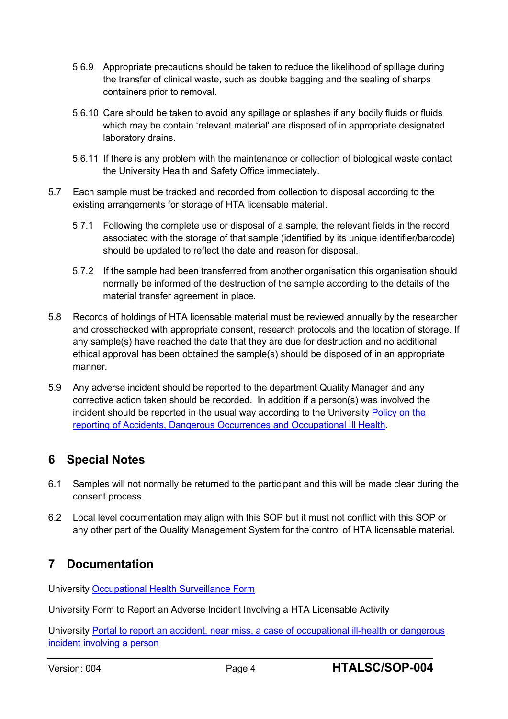- 5.6.9 Appropriate precautions should be taken to reduce the likelihood of spillage during the transfer of clinical waste, such as double bagging and the sealing of sharps containers prior to removal.
- 5.6.10 Care should be taken to avoid any spillage or splashes if any bodily fluids or fluids which may be contain 'relevant material' are disposed of in appropriate designated laboratory drains.
- 5.6.11 If there is any problem with the maintenance or collection of biological waste contact the University Health and Safety Office immediately.
- 5.7 Each sample must be tracked and recorded from collection to disposal according to the existing arrangements for storage of HTA licensable material.
	- 5.7.1 Following the complete use or disposal of a sample, the relevant fields in the record associated with the storage of that sample (identified by its unique identifier/barcode) should be updated to reflect the date and reason for disposal.
	- 5.7.2 If the sample had been transferred from another organisation this organisation should normally be informed of the destruction of the sample according to the details of the material transfer agreement in place.
- 5.8 Records of holdings of HTA licensable material must be reviewed annually by the researcher and crosschecked with appropriate consent, research protocols and the location of storage. If any sample(s) have reached the date that they are due for destruction and no additional ethical approval has been obtained the sample(s) should be disposed of in an appropriate manner.
- 5.9 Any adverse incident should be reported to the department Quality Manager and any corrective action taken should be recorded. In addition if a person(s) was involved the incident should be reported in the usual way according to the University [Policy on the](http://www.lboro.ac.uk/media/wwwlboroacuk/content/healthandsafety/downloads/Policy%20on%20the%20Reporting%20and%20Investigation%20of%20Dec%202017-Feb%202018%20Update.pdf)  [reporting of Accidents, Dangerous Occurrences and Occupational Ill Health.](http://www.lboro.ac.uk/media/wwwlboroacuk/content/healthandsafety/downloads/Policy%20on%20the%20Reporting%20and%20Investigation%20of%20Dec%202017-Feb%202018%20Update.pdf)

## **6 Special Notes**

- 6.1 Samples will not normally be returned to the participant and this will be made clear during the consent process.
- 6.2 Local level documentation may align with this SOP but it must not conflict with this SOP or any other part of the Quality Management System for the control of HTA licensable material.

## **7 Documentation**

University [Occupational Health Surveillance Form](http://www.lboro.ac.uk/services/hr/support/occupational-health/)

University Form to Report an Adverse Incident Involving a HTA Licensable Activity

University Portal [to report an accident, near miss, a case of occupational ill-health or dangerous](https://sheassure.net/lboro/Portal/LBU/Index)  [incident involving a person](https://sheassure.net/lboro/Portal/LBU/Index)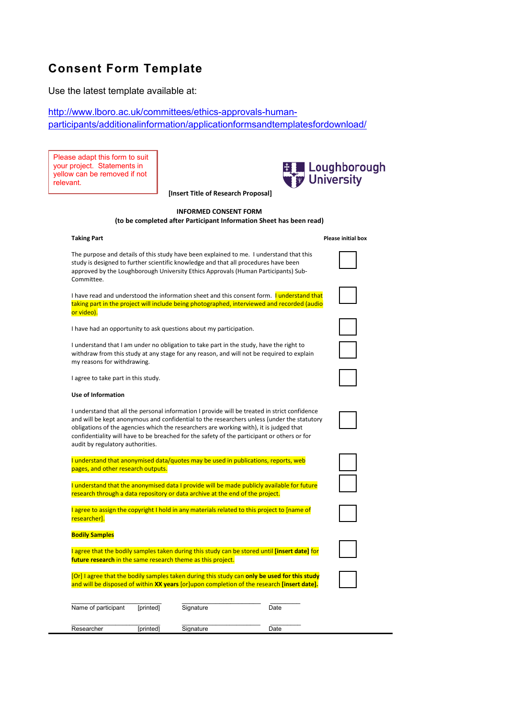## **Consent Form Template**

Use the latest template available at:

[http://www.lboro.ac.uk/committees/ethics-approvals-human](http://www.lboro.ac.uk/committees/ethics-approvals-human-participants/additionalinformation/applicationformsandtemplatesfordownload/)[participants/additionalinformation/applicationformsandtemplatesfordownload/](http://www.lboro.ac.uk/committees/ethics-approvals-human-participants/additionalinformation/applicationformsandtemplatesfordownload/)

Please adapt this form to suit your project. Statements in yellow can be removed if not relevant.

**[Insert Title of Research Proposal]**



#### **INFORMED CONSENT FORM (to be completed after Participant Information Sheet has been read)**

The purpose and details of this study have been explained to me. I understand that this study is designed to further scientific knowledge and that all procedures have been approved by the Loughborough University Ethics Approvals (Human Participants) Sub-Committee.

I have read and understood the information sheet and this consent form. I understand that taking part in the project will include being photographed, interviewed and recorded (audio or video).

I have had an opportunity to ask questions about my participation.

I understand that I am under no obligation to take part in the study, have the right to withdraw from this study at any stage for any reason, and will not be required to explain my reasons for withdrawing.

I agree to take part in this study.

#### **Use of Information**

I understand that all the personal information I provide will be treated in strict confidence and will be kept anonymous and confidential to the researchers unless (under the statutory obligations of the agencies which the researchers are working with), it is judged that confidentiality will have to be breached for the safety of the participant or others or for audit by regulatory authorities.

|                                    | I understand that anonymised data/quotes may be used in publications, reports, web |
|------------------------------------|------------------------------------------------------------------------------------|
| pages, and other research outputs. |                                                                                    |

I understand that the anonymised data I provide will be made publicly available for future research through a data repository or data archive at the end of the project.

I agree to assign the copyright I hold in any materials related to this project to [name of researcher].

#### **Bodily Samples**

I agree that the bodily samples taken during this study can be stored until **[insert date]** for **future research** in the same research theme as this project.

[Or] I agree that the bodily samples taken during this study can **only be used for this study** and will be disposed of within **XX years** [or]upon completion of the research **[insert date].**

| Name of participant | [printed] | Signature | Date |
|---------------------|-----------|-----------|------|
| Researcher          | [printed] | Signature | Date |

#### **Taking Part Please initial box**

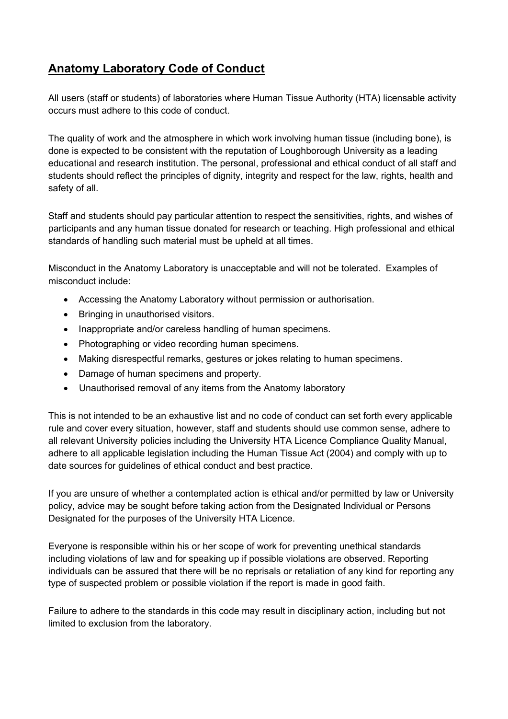## **Anatomy Laboratory Code of Conduct**

All users (staff or students) of laboratories where Human Tissue Authority (HTA) licensable activity occurs must adhere to this code of conduct.

The quality of work and the atmosphere in which work involving human tissue (including bone), is done is expected to be consistent with the reputation of Loughborough University as a leading educational and research institution. The personal, professional and ethical conduct of all staff and students should reflect the principles of dignity, integrity and respect for the law, rights, health and safety of all.

Staff and students should pay particular attention to respect the sensitivities, rights, and wishes of participants and any human tissue donated for research or teaching. High professional and ethical standards of handling such material must be upheld at all times.

Misconduct in the Anatomy Laboratory is unacceptable and will not be tolerated. Examples of misconduct include:

- Accessing the Anatomy Laboratory without permission or authorisation.
- Bringing in unauthorised visitors.
- Inappropriate and/or careless handling of human specimens.
- Photographing or video recording human specimens.
- Making disrespectful remarks, gestures or jokes relating to human specimens.
- Damage of human specimens and property.
- Unauthorised removal of any items from the Anatomy laboratory

This is not intended to be an exhaustive list and no code of conduct can set forth every applicable rule and cover every situation, however, staff and students should use common sense, adhere to all relevant University policies including the University HTA Licence Compliance Quality Manual, adhere to all applicable legislation including the Human Tissue Act (2004) and comply with up to date sources for guidelines of ethical conduct and best practice.

If you are unsure of whether a contemplated action is ethical and/or permitted by law or University policy, advice may be sought before taking action from the Designated Individual or Persons Designated for the purposes of the University HTA Licence.

Everyone is responsible within his or her scope of work for preventing unethical standards including violations of law and for speaking up if possible violations are observed. Reporting individuals can be assured that there will be no reprisals or retaliation of any kind for reporting any type of suspected problem or possible violation if the report is made in good faith.

Failure to adhere to the standards in this code may result in disciplinary action, including but not limited to exclusion from the laboratory.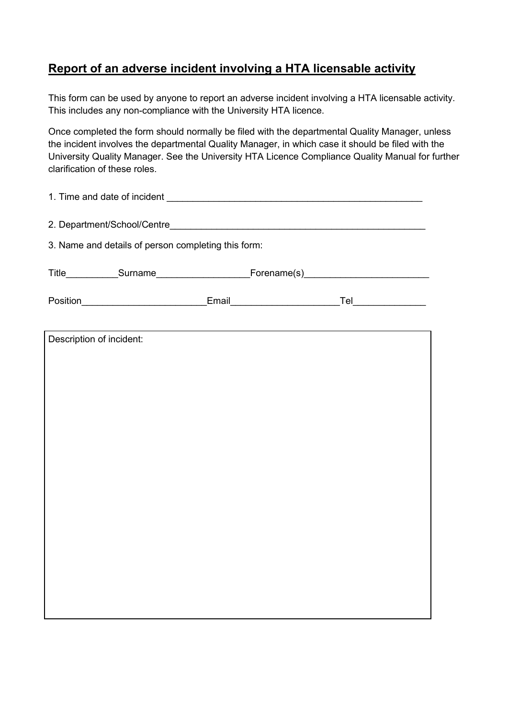## **Report of an adverse incident involving a HTA licensable activity**

This form can be used by anyone to report an adverse incident involving a HTA licensable activity. This includes any non-compliance with the University HTA licence.

Once completed the form should normally be filed with the departmental Quality Manager, unless the incident involves the departmental Quality Manager, in which case it should be filed with the University Quality Manager. See the University HTA Licence Compliance Quality Manual for further clarification of these roles.

| 3. Name and details of person completing this form:                                                 |  |  |  |
|-----------------------------------------------------------------------------------------------------|--|--|--|
| Title_____________Surname____________________________Forename(s)___________________________________ |  |  |  |
|                                                                                                     |  |  |  |
|                                                                                                     |  |  |  |
| Description of incident:                                                                            |  |  |  |
|                                                                                                     |  |  |  |
|                                                                                                     |  |  |  |
|                                                                                                     |  |  |  |
|                                                                                                     |  |  |  |
|                                                                                                     |  |  |  |
|                                                                                                     |  |  |  |
|                                                                                                     |  |  |  |
|                                                                                                     |  |  |  |
|                                                                                                     |  |  |  |
|                                                                                                     |  |  |  |
|                                                                                                     |  |  |  |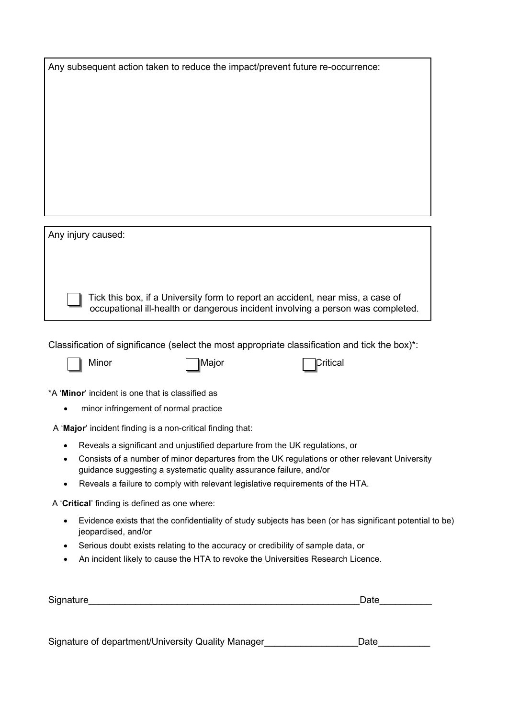| Any subsequent action taken to reduce the impact/prevent future re-occurrence:                 |
|------------------------------------------------------------------------------------------------|
|                                                                                                |
|                                                                                                |
|                                                                                                |
|                                                                                                |
|                                                                                                |
|                                                                                                |
|                                                                                                |
|                                                                                                |
| Any injury caused:                                                                             |
|                                                                                                |
|                                                                                                |
| Tick this box, if a University form to report an accident, near miss, a case of                |
| occupational ill-health or dangerous incident involving a person was completed.                |
|                                                                                                |
| Classification of significance (select the most appropriate classification and tick the box)*: |
| Minor<br>Critical<br>∣Major                                                                    |
| *A 'Minor' incident is one that is classified as                                               |
| minor infringement of normal practice<br>$\bullet$                                             |

- A '**Major**' incident finding is a non-critical finding that:
	- Reveals a significant and unjustified departure from the UK regulations, or
	- Consists of a number of minor departures from the UK regulations or other relevant University guidance suggesting a systematic quality assurance failure, and/or
	- Reveals a failure to comply with relevant legislative requirements of the HTA.

A '**Critical**' finding is defined as one where:

- Evidence exists that the confidentiality of study subjects has been (or has significant potential to be) jeopardised, and/or
- Serious doubt exists relating to the accuracy or credibility of sample data, or
- An incident likely to cause the HTA to revoke the Universities Research Licence.

| Signature | ٬۰+<br>પ્તાદ |
|-----------|--------------|
|           |              |

| Signature of department/University Quality Manager | Date |
|----------------------------------------------------|------|
|                                                    |      |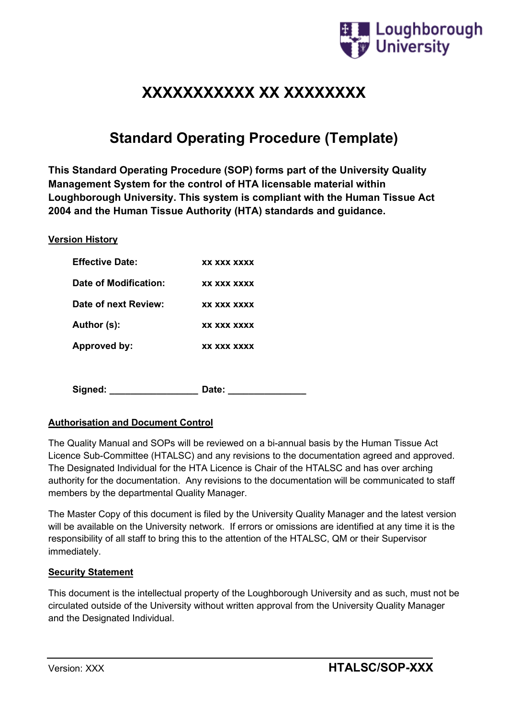

# **XXXXXXXXXXX XX XXXXXXXX**

# **Standard Operating Procedure (Template)**

**This Standard Operating Procedure (SOP) forms part of the University Quality Management System for the control of HTA licensable material within Loughborough University. This system is compliant with the Human Tissue Act 2004 and the Human Tissue Authority (HTA) standards and guidance.**

#### **Version History**

| <b>Effective Date:</b> | XX XXX XXXX |
|------------------------|-------------|
| Date of Modification:  | XX XXX XXXX |
| Date of next Review:   | XX XXX XXXX |
| Author (s):            | XX XXX XXXX |
| Approved by:           | XX XXX XXXX |
|                        |             |
|                        |             |

Signed: **Date: Date:** 

#### **Authorisation and Document Control**

The Quality Manual and SOPs will be reviewed on a bi-annual basis by the Human Tissue Act Licence Sub-Committee (HTALSC) and any revisions to the documentation agreed and approved. The Designated Individual for the HTA Licence is Chair of the HTALSC and has over arching authority for the documentation. Any revisions to the documentation will be communicated to staff members by the departmental Quality Manager.

The Master Copy of this document is filed by the University Quality Manager and the latest version will be available on the University network. If errors or omissions are identified at any time it is the responsibility of all staff to bring this to the attention of the HTALSC, QM or their Supervisor immediately.

#### **Security Statement**

This document is the intellectual property of the Loughborough University and as such, must not be circulated outside of the University without written approval from the University Quality Manager and the Designated Individual.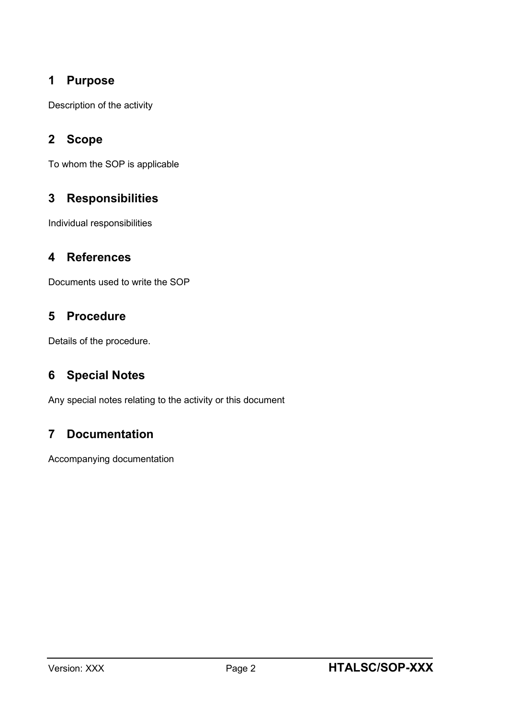## **1 Purpose**

Description of the activity

## **2 Scope**

To whom the SOP is applicable

## **3 Responsibilities**

Individual responsibilities

## **4 References**

Documents used to write the SOP

## **5 Procedure**

Details of the procedure.

## **6 Special Notes**

Any special notes relating to the activity or this document

## **7 Documentation**

Accompanying documentation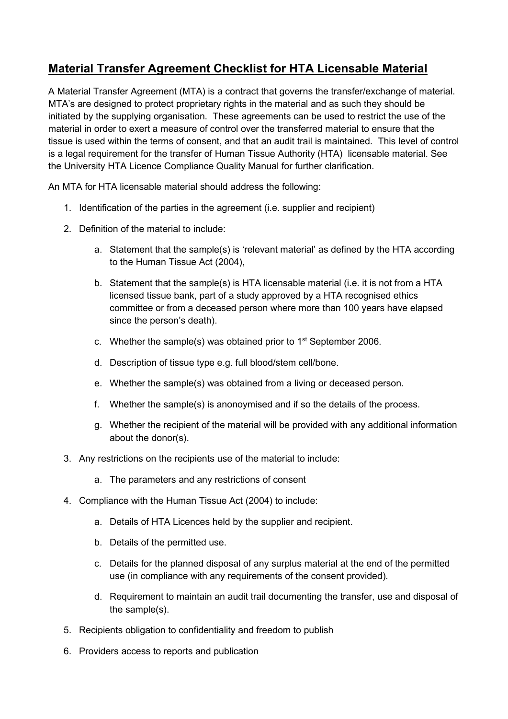## **Material Transfer Agreement Checklist for HTA Licensable Material**

A Material Transfer Agreement (MTA) is a contract that governs the transfer/exchange of material. MTA's are designed to protect proprietary rights in the material and as such they should be initiated by the supplying organisation. These agreements can be used to restrict the use of the material in order to exert a measure of control over the transferred material to ensure that the tissue is used within the terms of consent, and that an audit trail is maintained. This level of control is a legal requirement for the transfer of Human Tissue Authority (HTA) licensable material. See the University HTA Licence Compliance Quality Manual for further clarification.

An MTA for HTA licensable material should address the following:

- 1. Identification of the parties in the agreement (i.e. supplier and recipient)
- 2. Definition of the material to include:
	- a. Statement that the sample(s) is 'relevant material' as defined by the HTA according to the Human Tissue Act (2004),
	- b. Statement that the sample(s) is HTA licensable material (i.e. it is not from a HTA licensed tissue bank, part of a study approved by a HTA recognised ethics committee or from a deceased person where more than 100 years have elapsed since the person's death).
	- c. Whether the sample(s) was obtained prior to 1st September 2006.
	- d. Description of tissue type e.g. full blood/stem cell/bone.
	- e. Whether the sample(s) was obtained from a living or deceased person.
	- f. Whether the sample(s) is anonoymised and if so the details of the process.
	- g. Whether the recipient of the material will be provided with any additional information about the donor(s).
- 3. Any restrictions on the recipients use of the material to include:
	- a. The parameters and any restrictions of consent
- 4. Compliance with the Human Tissue Act (2004) to include:
	- a. Details of HTA Licences held by the supplier and recipient.
	- b. Details of the permitted use.
	- c. Details for the planned disposal of any surplus material at the end of the permitted use (in compliance with any requirements of the consent provided).
	- d. Requirement to maintain an audit trail documenting the transfer, use and disposal of the sample(s).
- 5. Recipients obligation to confidentiality and freedom to publish
- 6. Providers access to reports and publication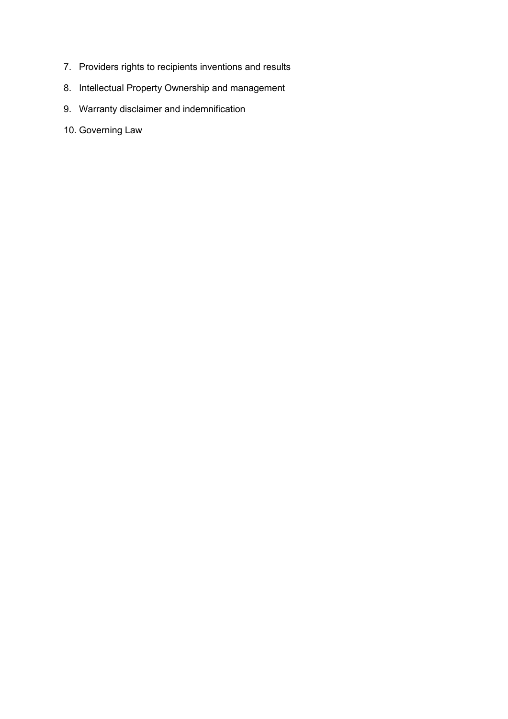- 7. Providers rights to recipients inventions and results
- 8. Intellectual Property Ownership and management
- 9. Warranty disclaimer and indemnification
- 10. Governing Law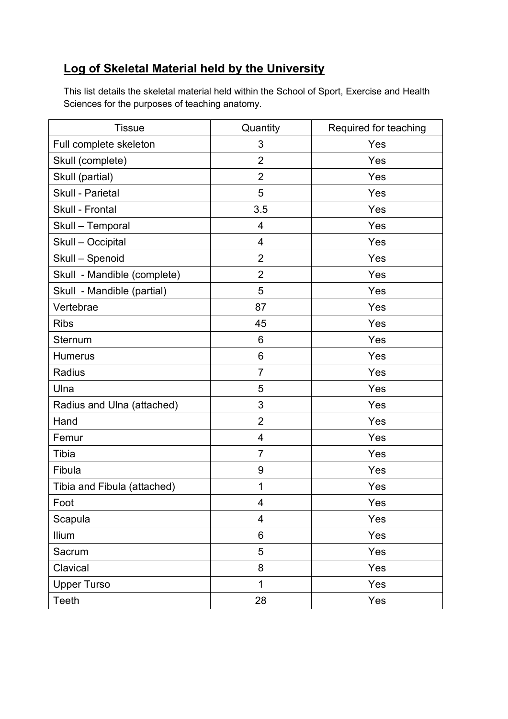## **Log of Skeletal Material held by the University**

This list details the skeletal material held within the School of Sport, Exercise and Health Sciences for the purposes of teaching anatomy.

| <b>Tissue</b>               | Quantity       | Required for teaching |
|-----------------------------|----------------|-----------------------|
| Full complete skeleton      | 3              | Yes                   |
| Skull (complete)            | $\overline{2}$ | Yes                   |
| Skull (partial)             | $\overline{2}$ | Yes                   |
| Skull - Parietal            | 5              | Yes                   |
| Skull - Frontal             | 3.5            | Yes                   |
| Skull - Temporal            | 4              | Yes                   |
| Skull - Occipital           | 4              | Yes                   |
| Skull - Spenoid             | $\overline{2}$ | Yes                   |
| Skull - Mandible (complete) | $\overline{2}$ | Yes                   |
| Skull - Mandible (partial)  | 5              | Yes                   |
| Vertebrae                   | 87             | Yes                   |
| <b>Ribs</b>                 | 45             | Yes                   |
| Sternum                     | 6              | Yes                   |
| <b>Humerus</b>              | 6              | Yes                   |
| Radius                      | $\overline{7}$ | Yes                   |
| Ulna                        | 5              | Yes                   |
| Radius and Ulna (attached)  | 3              | Yes                   |
| Hand                        | $\overline{2}$ | Yes                   |
| Femur                       | $\overline{4}$ | Yes                   |
| Tibia                       | $\overline{7}$ | Yes                   |
| Fibula                      | 9              | Yes                   |
| Tibia and Fibula (attached) | 1              | Yes                   |
| Foot                        | 4              | Yes                   |
| Scapula                     | 4              | Yes                   |
| <b>Ilium</b>                | 6              | Yes                   |
| Sacrum                      | 5              | Yes                   |
| Clavical                    | 8              | Yes                   |
| <b>Upper Turso</b>          | $\mathbf{1}$   | Yes                   |
| Teeth                       | 28             | Yes                   |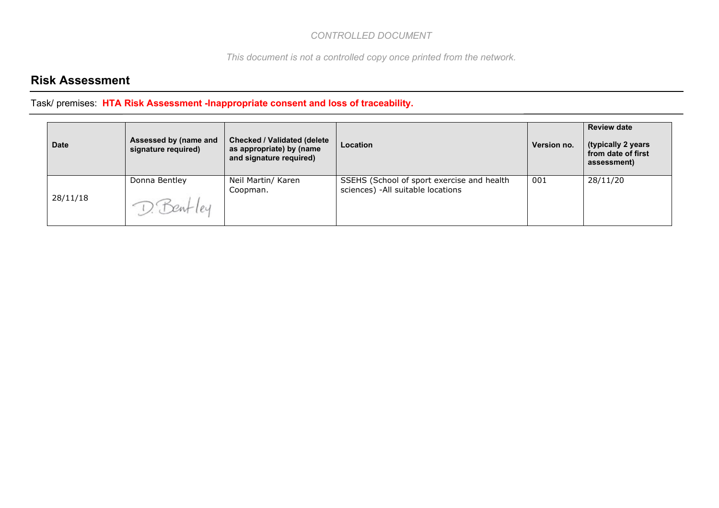*This document is not a controlled copy once printed from the network.*

## **Risk Assessment**

| <b>Date</b> | Assessed by (name and<br>signature required) | <b>Checked / Validated (delete</b><br>as appropriate) by (name<br>and signature required) | <b>Location</b>                                                                  | Version no. | <b>Review date</b><br>(typically 2 years<br>from date of first<br>assessment) |
|-------------|----------------------------------------------|-------------------------------------------------------------------------------------------|----------------------------------------------------------------------------------|-------------|-------------------------------------------------------------------------------|
| 28/11/18    | Donna Bentley                                | Neil Martin/ Karen<br>Coopman.                                                            | SSEHS (School of sport exercise and health<br>sciences) - All suitable locations | 001         | 28/11/20                                                                      |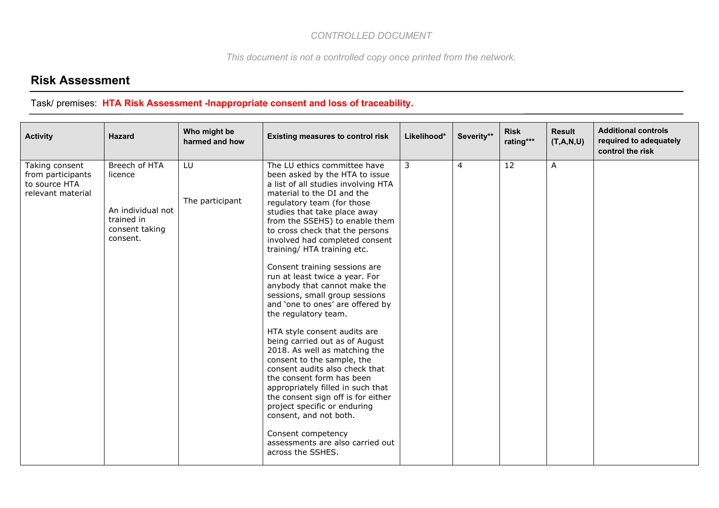*This document is not a controlled copy once printed from the network.*

## **Risk Assessment**

| <b>Activity</b>                                                           | <b>Hazard</b>                                                                             | Who might be<br>harmed and how | <b>Existing measures to control risk</b>                                                                                                                                                                                                                                                                                                                                                                                                                                                                                                                                                                                                                                                                                                                                                                                                                                                                                                                     | Likelihood*    | Severity**     | <b>Risk</b><br>rating*** | <b>Result</b><br>(T,A,N,U) | <b>Additional controls</b><br>required to adequately<br>control the risk |
|---------------------------------------------------------------------------|-------------------------------------------------------------------------------------------|--------------------------------|--------------------------------------------------------------------------------------------------------------------------------------------------------------------------------------------------------------------------------------------------------------------------------------------------------------------------------------------------------------------------------------------------------------------------------------------------------------------------------------------------------------------------------------------------------------------------------------------------------------------------------------------------------------------------------------------------------------------------------------------------------------------------------------------------------------------------------------------------------------------------------------------------------------------------------------------------------------|----------------|----------------|--------------------------|----------------------------|--------------------------------------------------------------------------|
| Taking consent<br>from participants<br>to source HTA<br>relevant material | Breech of HTA<br>licence<br>An individual not<br>trained in<br>consent taking<br>consent. | LU<br>The participant          | The LU ethics committee have<br>been asked by the HTA to issue<br>a list of all studies involving HTA<br>material to the DI and the<br>regulatory team (for those<br>studies that take place away<br>from the SSEHS) to enable them<br>to cross check that the persons<br>involved had completed consent<br>training/ HTA training etc.<br>Consent training sessions are<br>run at least twice a year. For<br>anybody that cannot make the<br>sessions, small group sessions<br>and 'one to ones' are offered by<br>the regulatory team.<br>HTA style consent audits are<br>being carried out as of August<br>2018. As well as matching the<br>consent to the sample, the<br>consent audits also check that<br>the consent form has been<br>appropriately filled in such that<br>the consent sign off is for either<br>project specific or enduring<br>consent, and not both.<br>Consent competency<br>assessments are also carried out<br>across the SSHES. | $\overline{3}$ | $\overline{4}$ | $\overline{12}$          | A                          |                                                                          |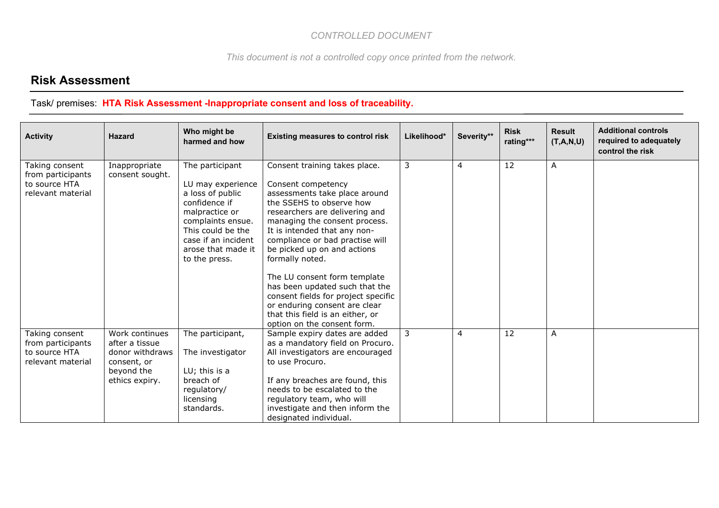*This document is not a controlled copy once printed from the network.*

## **Risk Assessment**

| <b>Activity</b>                                                           | <b>Hazard</b>                                                                                      | Who might be<br>harmed and how                                                                                                                                                                      | <b>Existing measures to control risk</b>                                                                                                                                                                                                                                                                                                                                                                                                                                                                              | Likelihood* | Severity**     | <b>Risk</b><br>rating*** | <b>Result</b><br>(T,A,N,U) | <b>Additional controls</b><br>required to adequately<br>control the risk |
|---------------------------------------------------------------------------|----------------------------------------------------------------------------------------------------|-----------------------------------------------------------------------------------------------------------------------------------------------------------------------------------------------------|-----------------------------------------------------------------------------------------------------------------------------------------------------------------------------------------------------------------------------------------------------------------------------------------------------------------------------------------------------------------------------------------------------------------------------------------------------------------------------------------------------------------------|-------------|----------------|--------------------------|----------------------------|--------------------------------------------------------------------------|
| Taking consent<br>from participants<br>to source HTA<br>relevant material | Inappropriate<br>consent sought.                                                                   | The participant<br>LU may experience<br>a loss of public<br>confidence if<br>malpractice or<br>complaints ensue.<br>This could be the<br>case if an incident<br>arose that made it<br>to the press. | Consent training takes place.<br>Consent competency<br>assessments take place around<br>the SSEHS to observe how<br>researchers are delivering and<br>managing the consent process.<br>It is intended that any non-<br>compliance or bad practise will<br>be picked up on and actions<br>formally noted.<br>The LU consent form template<br>has been updated such that the<br>consent fields for project specific<br>or enduring consent are clear<br>that this field is an either, or<br>option on the consent form. | 3           | $\overline{4}$ | 12                       | A                          |                                                                          |
| Taking consent<br>from participants<br>to source HTA<br>relevant material | Work continues<br>after a tissue<br>donor withdraws<br>consent, or<br>beyond the<br>ethics expiry. | The participant,<br>The investigator<br>LU; this is a<br>breach of<br>regulatory/<br>licensing<br>standards.                                                                                        | Sample expiry dates are added<br>as a mandatory field on Procuro.<br>All investigators are encouraged<br>to use Procuro.<br>If any breaches are found, this<br>needs to be escalated to the<br>regulatory team, who will<br>investigate and then inform the<br>designated individual.                                                                                                                                                                                                                                 | 3           | $\overline{4}$ | 12                       | A                          |                                                                          |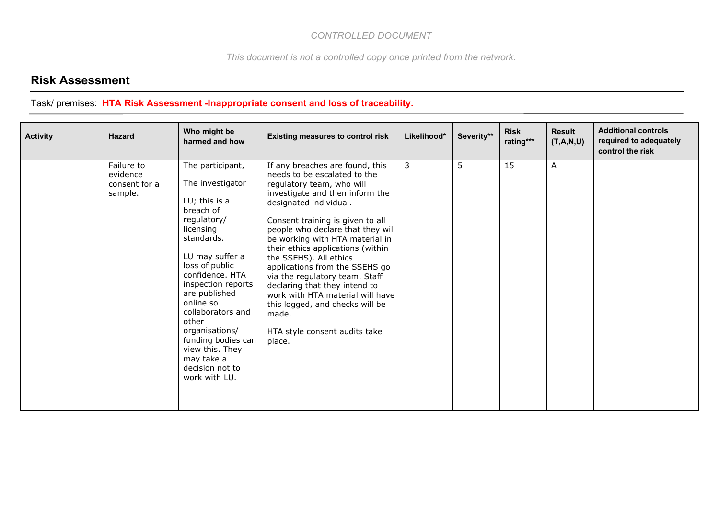*This document is not a controlled copy once printed from the network.*

## **Risk Assessment**

| <b>Activity</b> | <b>Hazard</b>                                      | Who might be<br>harmed and how                                                                                                                                                                                                                                                                                                                                      | <b>Existing measures to control risk</b>                                                                                                                                                                                                                                                                                                                                                                                                                                                                                                                             | Likelihood* | Severity** | <b>Risk</b><br>rating*** | <b>Result</b><br>(T,A,N,U) | <b>Additional controls</b><br>required to adequately<br>control the risk |
|-----------------|----------------------------------------------------|---------------------------------------------------------------------------------------------------------------------------------------------------------------------------------------------------------------------------------------------------------------------------------------------------------------------------------------------------------------------|----------------------------------------------------------------------------------------------------------------------------------------------------------------------------------------------------------------------------------------------------------------------------------------------------------------------------------------------------------------------------------------------------------------------------------------------------------------------------------------------------------------------------------------------------------------------|-------------|------------|--------------------------|----------------------------|--------------------------------------------------------------------------|
|                 | Failure to<br>evidence<br>consent for a<br>sample. | The participant,<br>The investigator<br>LU; this is a<br>breach of<br>regulatory/<br>licensing<br>standards.<br>LU may suffer a<br>loss of public<br>confidence. HTA<br>inspection reports<br>are published<br>online so<br>collaborators and<br>other<br>organisations/<br>funding bodies can<br>view this. They<br>may take a<br>decision not to<br>work with LU. | If any breaches are found, this<br>needs to be escalated to the<br>regulatory team, who will<br>investigate and then inform the<br>designated individual.<br>Consent training is given to all<br>people who declare that they will<br>be working with HTA material in<br>their ethics applications (within<br>the SSEHS). All ethics<br>applications from the SSEHS go<br>via the regulatory team. Staff<br>declaring that they intend to<br>work with HTA material will have<br>this logged, and checks will be<br>made.<br>HTA style consent audits take<br>place. | 3           | 5          | 15                       | Α                          |                                                                          |
|                 |                                                    |                                                                                                                                                                                                                                                                                                                                                                     |                                                                                                                                                                                                                                                                                                                                                                                                                                                                                                                                                                      |             |            |                          |                            |                                                                          |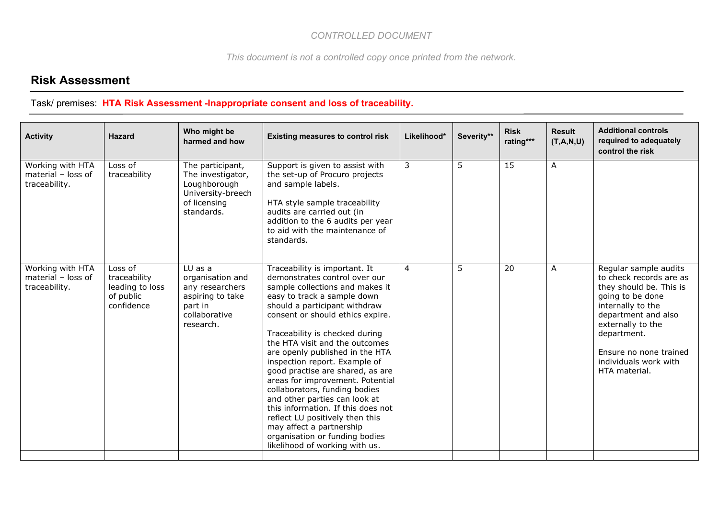*This document is not a controlled copy once printed from the network.*

## **Risk Assessment**

| <b>Activity</b>                                         | <b>Hazard</b>                                                         | Who might be<br>harmed and how                                                                                | <b>Existing measures to control risk</b>                                                                                                                                                                                                                                                                                                                                                                                                                                                                                                                                                                                                                         | Likelihood*    | Severity** | <b>Risk</b><br>rating*** | <b>Result</b><br>(T,A,N,U) | <b>Additional controls</b><br>required to adequately<br>control the risk                                                                                                                                                                            |
|---------------------------------------------------------|-----------------------------------------------------------------------|---------------------------------------------------------------------------------------------------------------|------------------------------------------------------------------------------------------------------------------------------------------------------------------------------------------------------------------------------------------------------------------------------------------------------------------------------------------------------------------------------------------------------------------------------------------------------------------------------------------------------------------------------------------------------------------------------------------------------------------------------------------------------------------|----------------|------------|--------------------------|----------------------------|-----------------------------------------------------------------------------------------------------------------------------------------------------------------------------------------------------------------------------------------------------|
| Working with HTA<br>material - loss of<br>traceability. | Loss of<br>traceability                                               | The participant,<br>The investigator,<br>Loughborough<br>University-breech<br>of licensing<br>standards.      | Support is given to assist with<br>the set-up of Procuro projects<br>and sample labels.<br>HTA style sample traceability<br>audits are carried out (in<br>addition to the 6 audits per year<br>to aid with the maintenance of<br>standards.                                                                                                                                                                                                                                                                                                                                                                                                                      | 3              | 5          | 15                       | Α                          |                                                                                                                                                                                                                                                     |
| Working with HTA<br>material - loss of<br>traceability. | Loss of<br>traceability<br>leading to loss<br>of public<br>confidence | $LU$ as a<br>organisation and<br>any researchers<br>aspiring to take<br>part in<br>collaborative<br>research. | Traceability is important. It<br>demonstrates control over our<br>sample collections and makes it<br>easy to track a sample down<br>should a participant withdraw<br>consent or should ethics expire.<br>Traceability is checked during<br>the HTA visit and the outcomes<br>are openly published in the HTA<br>inspection report. Example of<br>good practise are shared, as are<br>areas for improvement. Potential<br>collaborators, funding bodies<br>and other parties can look at<br>this information. If this does not<br>reflect LU positively then this<br>may affect a partnership<br>organisation or funding bodies<br>likelihood of working with us. | $\overline{4}$ | 5          | 20                       | A                          | Regular sample audits<br>to check records are as<br>they should be. This is<br>going to be done<br>internally to the<br>department and also<br>externally to the<br>department.<br>Ensure no none trained<br>individuals work with<br>HTA material. |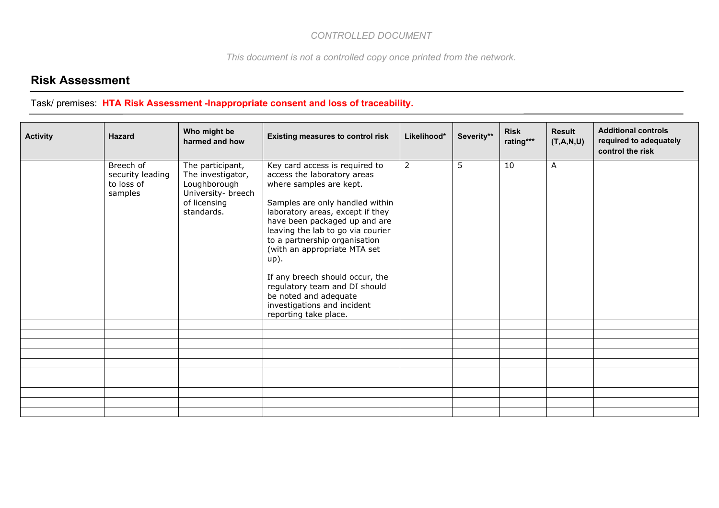*This document is not a controlled copy once printed from the network.*

## **Risk Assessment**

| <b>Activity</b> | <b>Hazard</b>                                          | Who might be<br>harmed and how                                                                            | <b>Existing measures to control risk</b>                                                                                                                                                                                                                                                                                                                                                                                                                               | Likelihood*    | Severity** | <b>Risk</b><br>rating*** | <b>Result</b><br>(T,A,N,U) | <b>Additional controls</b><br>required to adequately<br>control the risk |
|-----------------|--------------------------------------------------------|-----------------------------------------------------------------------------------------------------------|------------------------------------------------------------------------------------------------------------------------------------------------------------------------------------------------------------------------------------------------------------------------------------------------------------------------------------------------------------------------------------------------------------------------------------------------------------------------|----------------|------------|--------------------------|----------------------------|--------------------------------------------------------------------------|
|                 | Breech of<br>security leading<br>to loss of<br>samples | The participant,<br>The investigator,<br>Loughborough<br>University- breech<br>of licensing<br>standards. | Key card access is required to<br>access the laboratory areas<br>where samples are kept.<br>Samples are only handled within<br>laboratory areas, except if they<br>have been packaged up and are<br>leaving the lab to go via courier<br>to a partnership organisation<br>(with an appropriate MTA set<br>$up$ ).<br>If any breech should occur, the<br>regulatory team and DI should<br>be noted and adequate<br>investigations and incident<br>reporting take place. | $\overline{2}$ | 5          | 10                       | A                          |                                                                          |
|                 |                                                        |                                                                                                           |                                                                                                                                                                                                                                                                                                                                                                                                                                                                        |                |            |                          |                            |                                                                          |
|                 |                                                        |                                                                                                           |                                                                                                                                                                                                                                                                                                                                                                                                                                                                        |                |            |                          |                            |                                                                          |
|                 |                                                        |                                                                                                           |                                                                                                                                                                                                                                                                                                                                                                                                                                                                        |                |            |                          |                            |                                                                          |
|                 |                                                        |                                                                                                           |                                                                                                                                                                                                                                                                                                                                                                                                                                                                        |                |            |                          |                            |                                                                          |
|                 |                                                        |                                                                                                           |                                                                                                                                                                                                                                                                                                                                                                                                                                                                        |                |            |                          |                            |                                                                          |
|                 |                                                        |                                                                                                           |                                                                                                                                                                                                                                                                                                                                                                                                                                                                        |                |            |                          |                            |                                                                          |
|                 |                                                        |                                                                                                           |                                                                                                                                                                                                                                                                                                                                                                                                                                                                        |                |            |                          |                            |                                                                          |
|                 |                                                        |                                                                                                           |                                                                                                                                                                                                                                                                                                                                                                                                                                                                        |                |            |                          |                            |                                                                          |
|                 |                                                        |                                                                                                           |                                                                                                                                                                                                                                                                                                                                                                                                                                                                        |                |            |                          |                            |                                                                          |
|                 |                                                        |                                                                                                           |                                                                                                                                                                                                                                                                                                                                                                                                                                                                        |                |            |                          |                            |                                                                          |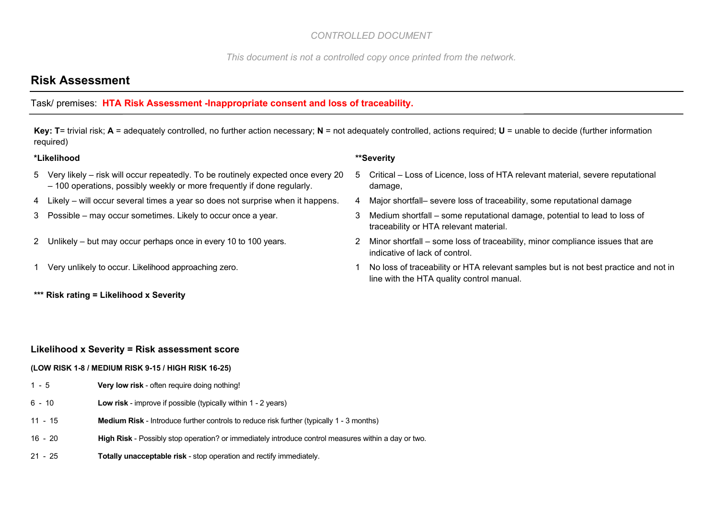*This document is not a controlled copy once printed from the network.*

## **Risk Assessment**

#### Task/ premises: **HTA Risk Assessment -Inappropriate consent and loss of traceability.**

**Key: T**= trivial risk; **A** = adequately controlled, no further action necessary; **N** = not adequately controlled, actions required; **U** = unable to decide (further information required)

#### **\*Likelihood \*\*Severity**

- 5 Very likely risk will occur repeatedly. To be routinely expected once every 20 – 100 operations, possibly weekly or more frequently if done regularly.
- 4 Likely will occur several times a year so does not surprise when it happens. 4 Major shortfall– severe loss of traceability, some reputational damage
- 
- 
- 
- **\*\*\* Risk rating = Likelihood x Severity**
- 5 Critical Loss of Licence, loss of HTA relevant material, severe reputational damage,
- 
- 3 Possible may occur sometimes. Likely to occur once a year. 3 Medium shortfall some reputational damage, potential to lead to loss of traceability or HTA relevant material.
- 2 Unlikely but may occur perhaps once in every 10 to 100 years. 2 Minor shortfall some loss of traceability, minor compliance issues that are indicative of lack of control.
- 1 Very unlikely to occur. Likelihood approaching zero. 1 No loss of traceability or HTA relevant samples but is not best practice and not in line with the HTA quality control manual.

#### **Likelihood x Severity = Risk assessment score**

#### **(LOW RISK 1-8 / MEDIUM RISK 9-15 / HIGH RISK 16-25)**

- 1 5 **Very low risk** often require doing nothing!
- 6 10 **Low risk** improve if possible (typically within 1 2 years)
- 11 15 **Medium Risk** Introduce further controls to reduce risk further (typically 1 3 months)
- 16 20 **High Risk** Possibly stop operation? or immediately introduce control measures within a day or two.
- 21 25 **Totally unacceptable risk** stop operation and rectify immediately.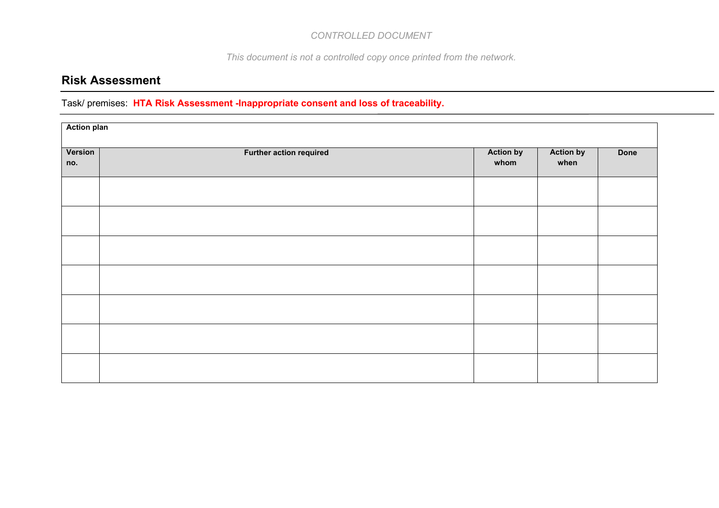*This document is not a controlled copy once printed from the network.*

## **Risk Assessment**

|                | <b>Action plan</b>             |                          |                          |             |  |  |  |  |  |  |  |  |
|----------------|--------------------------------|--------------------------|--------------------------|-------------|--|--|--|--|--|--|--|--|
| Version<br>no. | <b>Further action required</b> | <b>Action by</b><br>whom | <b>Action by</b><br>when | <b>Done</b> |  |  |  |  |  |  |  |  |
|                |                                |                          |                          |             |  |  |  |  |  |  |  |  |
|                |                                |                          |                          |             |  |  |  |  |  |  |  |  |
|                |                                |                          |                          |             |  |  |  |  |  |  |  |  |
|                |                                |                          |                          |             |  |  |  |  |  |  |  |  |
|                |                                |                          |                          |             |  |  |  |  |  |  |  |  |
|                |                                |                          |                          |             |  |  |  |  |  |  |  |  |
|                |                                |                          |                          |             |  |  |  |  |  |  |  |  |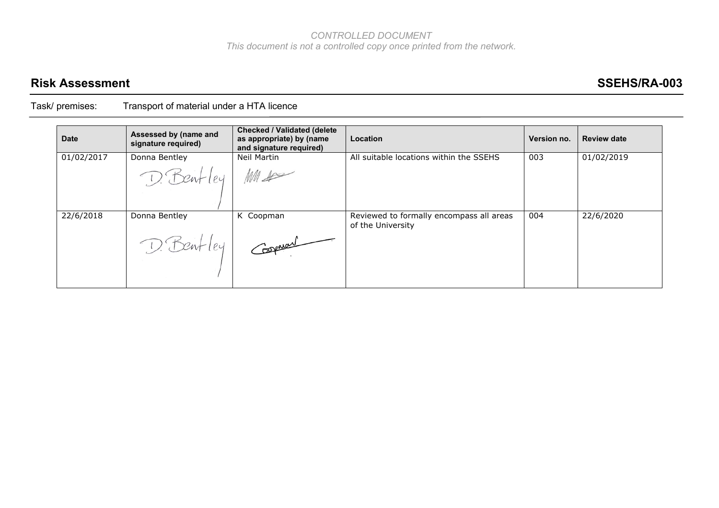## **Risk Assessment SSEHS/RA-003**

| <b>Date</b> | Assessed by (name and<br>signature required) | <b>Checked / Validated (delete)</b><br>as appropriate) by (name<br>and signature required) | Location                                                      | Version no. | <b>Review date</b> |
|-------------|----------------------------------------------|--------------------------------------------------------------------------------------------|---------------------------------------------------------------|-------------|--------------------|
| 01/02/2017  | Donna Bentley                                | Neil Martin                                                                                | All suitable locations within the SSEHS                       | 003         | 01/02/2019         |
|             | D. Bentley Muse                              |                                                                                            |                                                               |             |                    |
| 22/6/2018   | Donna Bentley                                | K Coopman                                                                                  | Reviewed to formally encompass all areas<br>of the University | 004         | 22/6/2020          |
|             | D. Bentley                                   | Coopman                                                                                    |                                                               |             |                    |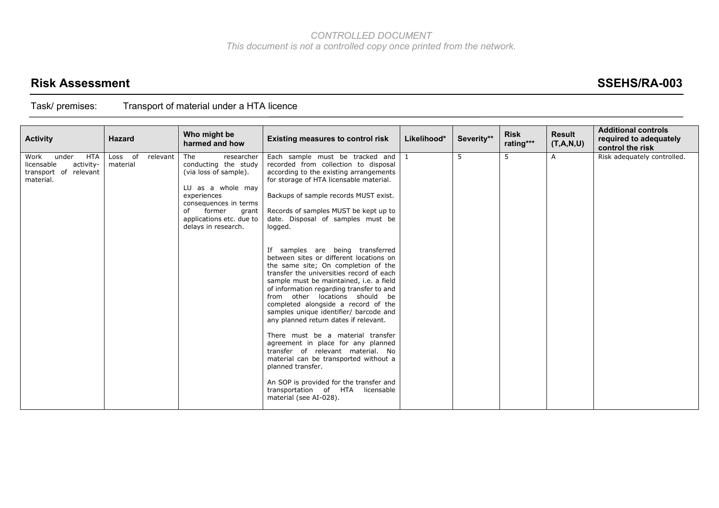## **Risk Assessment SSEHS/RA-003**

| <b>Activity</b>                                                                       | <b>Hazard</b>                   | Who might be<br>harmed and how                                                                                                                                                                              | <b>Existing measures to control risk</b>                                                                                                                                                                                                                                                                                                                                                                                                                                                                                                                                                                                                                                                                                                                                                                                                                                                                                                                                                                          | Likelihood* | Severity** | <b>Risk</b><br>rating*** | <b>Result</b><br>(T,A,N,U) | <b>Additional controls</b><br>required to adequately<br>control the risk |
|---------------------------------------------------------------------------------------|---------------------------------|-------------------------------------------------------------------------------------------------------------------------------------------------------------------------------------------------------------|-------------------------------------------------------------------------------------------------------------------------------------------------------------------------------------------------------------------------------------------------------------------------------------------------------------------------------------------------------------------------------------------------------------------------------------------------------------------------------------------------------------------------------------------------------------------------------------------------------------------------------------------------------------------------------------------------------------------------------------------------------------------------------------------------------------------------------------------------------------------------------------------------------------------------------------------------------------------------------------------------------------------|-------------|------------|--------------------------|----------------------------|--------------------------------------------------------------------------|
| Work<br>HTA<br>under<br>activity-<br>licensable<br>transport of relevant<br>material. | Loss of<br>relevant<br>material | The<br>researcher<br>conducting the study<br>(via loss of sample).<br>LU as a whole may<br>experiences<br>consequences in terms<br>former<br>of<br>grant<br>applications etc. due to<br>delays in research. | Each sample must be tracked and $1$<br>recorded from collection to disposal<br>according to the existing arrangements<br>for storage of HTA licensable material.<br>Backups of sample records MUST exist.<br>Records of samples MUST be kept up to<br>date. Disposal of samples must be<br>logged.<br>If samples are being transferred<br>between sites or different locations on<br>the same site; On completion of the<br>transfer the universities record of each<br>sample must be maintained, i.e. a field<br>of information regarding transfer to and<br>from other locations should be<br>completed alongside a record of the<br>samples unique identifier/ barcode and<br>any planned return dates if relevant.<br>There must be a material transfer<br>agreement in place for any planned<br>transfer of relevant material. No<br>material can be transported without a<br>planned transfer.<br>An SOP is provided for the transfer and<br>transportation of HTA<br>licensable<br>material (see AI-028). |             | 5          | 5                        | $\mathsf{A}$               | Risk adequately controlled.                                              |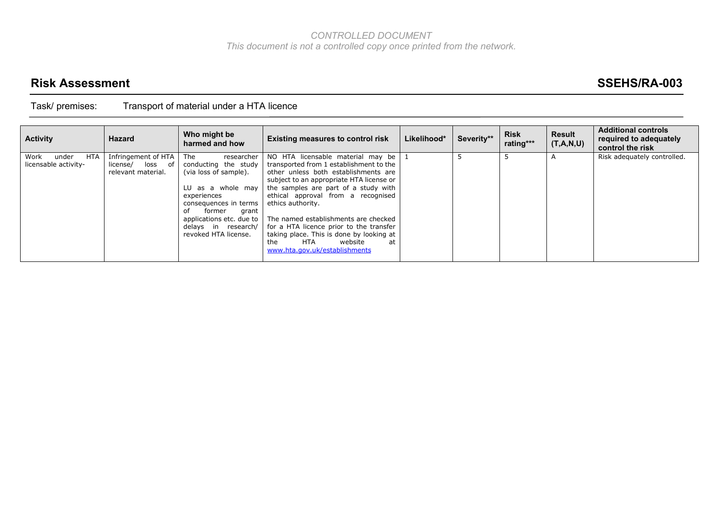## **Risk Assessment SSEHS/RA-003**

| <b>Activity</b>                                     | <b>Hazard</b>                                                 | Who might be<br>harmed and how                                                                                                                                                                                                      | <b>Existing measures to control risk</b>                                                                                                                                                                                                                                                                                                                                                           | Likelihood* | Severity** | <b>Risk</b><br>rating*** | <b>Result</b><br>(T,A,N,U) | <b>Additional controls</b><br>required to adequately<br>control the risk |
|-----------------------------------------------------|---------------------------------------------------------------|-------------------------------------------------------------------------------------------------------------------------------------------------------------------------------------------------------------------------------------|----------------------------------------------------------------------------------------------------------------------------------------------------------------------------------------------------------------------------------------------------------------------------------------------------------------------------------------------------------------------------------------------------|-------------|------------|--------------------------|----------------------------|--------------------------------------------------------------------------|
| <b>HTA</b><br>Work<br>under<br>licensable activity- | Infringement of HTA<br>license/ loss of<br>relevant material. | researcher<br>The<br>conducting the study<br>(via loss of sample).<br>LU as a whole may<br>experiences<br>consequences in terms<br>οf<br>former<br>grant<br>applications etc. due to<br>delays in research/<br>revoked HTA license. | NO HTA licensable material may be<br>transported from 1 establishment to the<br>other unless both establishments are<br>subject to an appropriate HTA license or<br>the samples are part of a study with<br>ethical approval from a recognised<br>ethics authority.<br>The named establishments are checked<br>for a HTA licence prior to the transfer<br>taking place. This is done by looking at |             |            |                          |                            | Risk adequately controlled.                                              |
|                                                     |                                                               |                                                                                                                                                                                                                                     | the<br>HTA<br>website<br>at<br>www.hta.gov.uk/establishments                                                                                                                                                                                                                                                                                                                                       |             |            |                          |                            |                                                                          |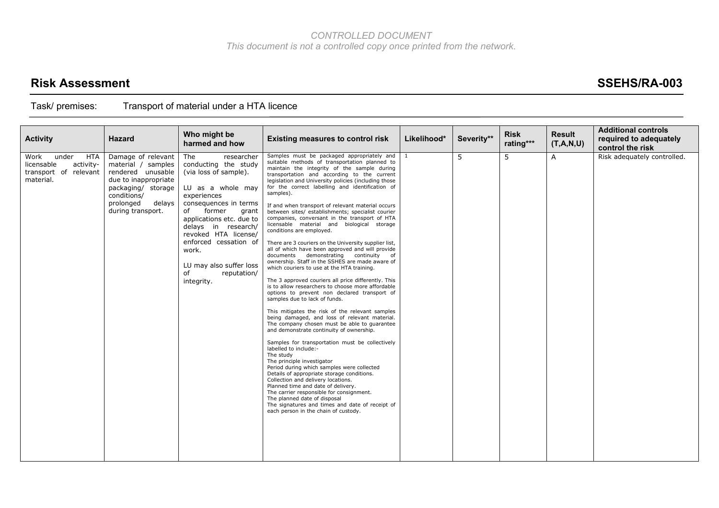## **Risk Assessment SSEHS/RA-003**

| <b>Activity</b>                                                                       | <b>Hazard</b>                                                                                                                                                          | Who might be<br>harmed and how                                                                                                                                                                                                                                                                                                      | <b>Existing measures to control risk</b>                                                                                                                                                                                                                                                                                                                                                                                                                                                                                                                                                                                                                                                                                                                                                                                                                                                                                                                                                                                                                                                                                                                                                                                                                                                                                                                                                                                                                                                                                                                                                                                                                                            | Likelihood*    | Severity** | <b>Risk</b><br>rating*** | <b>Result</b><br>(T,A,N,U) | <b>Additional controls</b><br>required to adequately<br>control the risk |
|---------------------------------------------------------------------------------------|------------------------------------------------------------------------------------------------------------------------------------------------------------------------|-------------------------------------------------------------------------------------------------------------------------------------------------------------------------------------------------------------------------------------------------------------------------------------------------------------------------------------|-------------------------------------------------------------------------------------------------------------------------------------------------------------------------------------------------------------------------------------------------------------------------------------------------------------------------------------------------------------------------------------------------------------------------------------------------------------------------------------------------------------------------------------------------------------------------------------------------------------------------------------------------------------------------------------------------------------------------------------------------------------------------------------------------------------------------------------------------------------------------------------------------------------------------------------------------------------------------------------------------------------------------------------------------------------------------------------------------------------------------------------------------------------------------------------------------------------------------------------------------------------------------------------------------------------------------------------------------------------------------------------------------------------------------------------------------------------------------------------------------------------------------------------------------------------------------------------------------------------------------------------------------------------------------------------|----------------|------------|--------------------------|----------------------------|--------------------------------------------------------------------------|
| Work<br>under<br>HTA<br>licensable<br>activity-<br>transport of relevant<br>material. | Damage of relevant<br>material / samples<br>rendered unusable<br>due to inappropriate<br>packaging/ storage<br>conditions/<br>prolonged<br>delays<br>during transport. | The<br>researcher<br>conducting the study<br>(via loss of sample).<br>LU as a whole may<br>experiences<br>consequences in terms<br>of<br>former<br>grant<br>applications etc. due to<br>delays in research/<br>revoked HTA license/<br>enforced cessation of<br>work.<br>LU may also suffer loss<br>of<br>reputation/<br>integrity. | Samples must be packaged appropriately and<br>suitable methods of transportation planned to<br>maintain the integrity of the sample during<br>transportation and according to the current<br>legislation and University policies (including those<br>for the correct labelling and identification of<br>samples).<br>If and when transport of relevant material occurs<br>between sites/ establishments; specialist courier<br>companies, conversant in the transport of HTA<br>licensable material and biological storage<br>conditions are employed.<br>There are 3 couriers on the University supplier list,<br>all of which have been approved and will provide<br>documents demonstrating continuity<br>of<br>ownership. Staff in the SSHES are made aware of<br>which couriers to use at the HTA training.<br>The 3 approved couriers all price differently. This<br>is to allow researchers to choose more affordable<br>options to prevent non declared transport of<br>samples due to lack of funds.<br>This mitigates the risk of the relevant samples<br>being damaged, and loss of relevant material.<br>The company chosen must be able to guarantee<br>and demonstrate continuity of ownership.<br>Samples for transportation must be collectively<br>labelled to include:-<br>The study<br>The principle investigator<br>Period during which samples were collected<br>Details of appropriate storage conditions.<br>Collection and delivery locations.<br>Planned time and date of delivery.<br>The carrier responsible for consignment.<br>The planned date of disposal<br>The signatures and times and date of receipt of<br>each person in the chain of custody. | $\overline{1}$ | 5          | 5                        | $\mathsf{A}$               | Risk adequately controlled.                                              |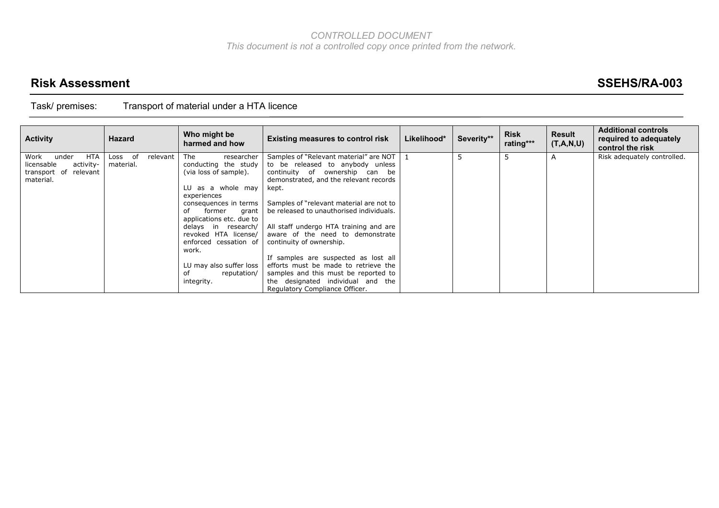## **Risk Assessment SSEHS/RA-003**

| <b>Activity</b>             | <b>Hazard</b>          | Who might be<br>harmed and how              | <b>Existing measures to control risk</b>                                   | Likelihood* | Severity** | <b>Risk</b><br>rating*** | <b>Result</b><br>(T,A,N,U) | <b>Additional controls</b><br>required to adequately<br>control the risk |
|-----------------------------|------------------------|---------------------------------------------|----------------------------------------------------------------------------|-------------|------------|--------------------------|----------------------------|--------------------------------------------------------------------------|
| Work<br><b>HTA</b><br>under | of<br>relevant<br>Loss | researcher<br>The                           | Samples of "Relevant material" are NOT                                     |             |            | 5                        |                            | Risk adequately controlled.                                              |
| activity-<br>licensable     | material.              | conducting the study                        | to be released to anybody unless                                           |             |            |                          |                            |                                                                          |
| transport of<br>relevant    |                        | (via loss of sample).                       | continuity of ownership can be                                             |             |            |                          |                            |                                                                          |
| material.                   |                        |                                             | demonstrated, and the relevant records                                     |             |            |                          |                            |                                                                          |
|                             |                        | LU as a whole may                           | kept.                                                                      |             |            |                          |                            |                                                                          |
|                             |                        | experiences                                 |                                                                            |             |            |                          |                            |                                                                          |
|                             |                        | consequences in terms                       | Samples of "relevant material are not to                                   |             |            |                          |                            |                                                                          |
|                             |                        | of<br>former<br>grant                       | be released to unauthorised individuals.                                   |             |            |                          |                            |                                                                          |
|                             |                        | applications etc. due to                    |                                                                            |             |            |                          |                            |                                                                          |
|                             |                        | delays in research/<br>revoked HTA license/ | All staff undergo HTA training and are<br>aware of the need to demonstrate |             |            |                          |                            |                                                                          |
|                             |                        |                                             |                                                                            |             |            |                          |                            |                                                                          |
|                             |                        | enforced cessation of<br>work.              | continuity of ownership.                                                   |             |            |                          |                            |                                                                          |
|                             |                        |                                             | If samples are suspected as lost all                                       |             |            |                          |                            |                                                                          |
|                             |                        | LU may also suffer loss                     | efforts must be made to retrieve the                                       |             |            |                          |                            |                                                                          |
|                             |                        | reputation/<br>οf                           | samples and this must be reported to                                       |             |            |                          |                            |                                                                          |
|                             |                        | integrity.                                  | the designated individual and the                                          |             |            |                          |                            |                                                                          |
|                             |                        |                                             | Regulatory Compliance Officer.                                             |             |            |                          |                            |                                                                          |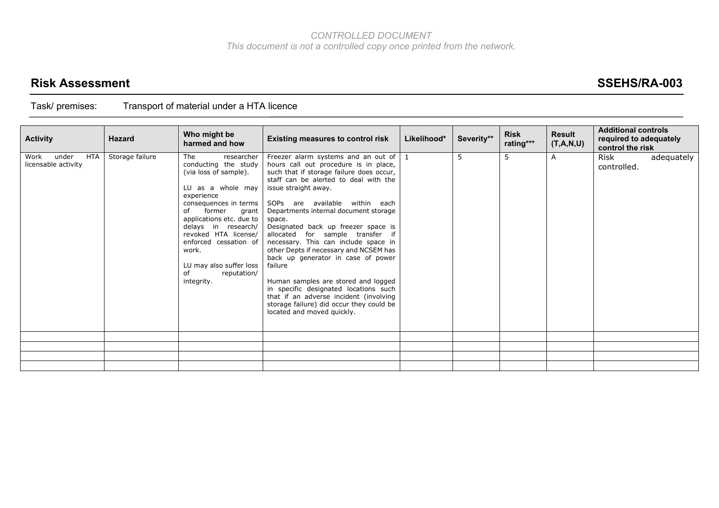## **Risk Assessment SSEHS/RA-003**

| <b>Activity</b>                             | <b>Hazard</b>   | Who might be<br>harmed and how                                                                                                                                                                                                                                                                                                     | <b>Existing measures to control risk</b>                                                                                                                                                                                                                                                                                                                                                                                                                                                                                                                                                                                                                                                                   | Likelihood* | Severity** | <b>Risk</b><br>rating*** | <b>Result</b><br>(T,A,N,U) | <b>Additional controls</b><br>required to adequately<br>control the risk |            |
|---------------------------------------------|-----------------|------------------------------------------------------------------------------------------------------------------------------------------------------------------------------------------------------------------------------------------------------------------------------------------------------------------------------------|------------------------------------------------------------------------------------------------------------------------------------------------------------------------------------------------------------------------------------------------------------------------------------------------------------------------------------------------------------------------------------------------------------------------------------------------------------------------------------------------------------------------------------------------------------------------------------------------------------------------------------------------------------------------------------------------------------|-------------|------------|--------------------------|----------------------------|--------------------------------------------------------------------------|------------|
| HTA<br>under<br>Work<br>licensable activity | Storage failure | The<br>researcher<br>conducting the study<br>(via loss of sample).<br>LU as a whole may<br>experience<br>consequences in terms<br>former<br>οf<br>grant<br>applications etc. due to<br>delays in research/<br>revoked HTA license/<br>enforced cessation of<br>work.<br>LU may also suffer loss<br>reputation/<br>of<br>integrity. | Freezer alarm systems and an out of $\vert$ 1<br>hours call out procedure is in place,<br>such that if storage failure does occur,<br>staff can be alerted to deal with the<br>issue straight away.<br>SOPs are available within each<br>Departments internal document storage<br>space.<br>Designated back up freezer space is<br>allocated for sample transfer if<br>necessary. This can include space in<br>other Depts if necessary and NCSEM has<br>back up generator in case of power<br>failure<br>Human samples are stored and logged<br>in specific designated locations such<br>that if an adverse incident (involving<br>storage failure) did occur they could be<br>located and moved quickly. |             | 5          | 5                        | A                          | Risk<br>controlled.                                                      | adequately |
|                                             |                 |                                                                                                                                                                                                                                                                                                                                    |                                                                                                                                                                                                                                                                                                                                                                                                                                                                                                                                                                                                                                                                                                            |             |            |                          |                            |                                                                          |            |
|                                             |                 |                                                                                                                                                                                                                                                                                                                                    |                                                                                                                                                                                                                                                                                                                                                                                                                                                                                                                                                                                                                                                                                                            |             |            |                          |                            |                                                                          |            |
|                                             |                 |                                                                                                                                                                                                                                                                                                                                    |                                                                                                                                                                                                                                                                                                                                                                                                                                                                                                                                                                                                                                                                                                            |             |            |                          |                            |                                                                          |            |
|                                             |                 |                                                                                                                                                                                                                                                                                                                                    |                                                                                                                                                                                                                                                                                                                                                                                                                                                                                                                                                                                                                                                                                                            |             |            |                          |                            |                                                                          |            |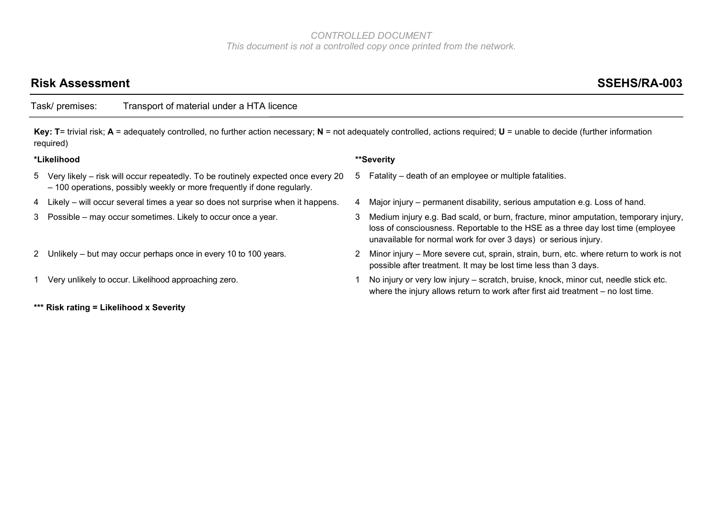## Risk Assessment SSEHS/RA-003

Task/ premises: Transport of material under a HTA licence

**Key: T**= trivial risk; **A** = adequately controlled, no further action necessary; **N** = not adequately controlled, actions required; **U** = unable to decide (further information required)

#### **\*Likelihood \*\*Severity**

- 5 Very likely risk will occur repeatedly. To be routinely expected once every 20 – 100 operations, possibly weekly or more frequently if done regularly.
- 4 Likely will occur several times a year so does not surprise when it happens. 4 Major injury permanent disability, serious amputation e.g. Loss of hand.
- 
- 
- 
- **\*\*\* Risk rating = Likelihood x Severity**

- 5 Fatality death of an employee or multiple fatalities.
- 
- 3 Possible may occur sometimes. Likely to occur once a year. 3 Medium injury e.g. Bad scald, or burn, fracture, minor amputation, temporary injury, loss of consciousness. Reportable to the HSE as a three day lost time (employee unavailable for normal work for over 3 days) or serious injury.
- 2 Unlikely but may occur perhaps once in every 10 to 100 years. 2 Minor injury More severe cut, sprain, strain, burn, etc. where return to work is not possible after treatment. It may be lost time less than 3 days.
- 1 Very unlikely to occur. Likelihood approaching zero. 1 No injury or very low injury scratch, bruise, knock, minor cut, needle stick etc. where the injury allows return to work after first aid treatment – no lost time.